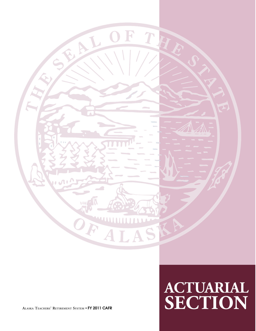

# **ACTUARIAL ALASKA TEACHERS' RETIREMENT SYSTEM** • **FY 2011 CAFR SECTION**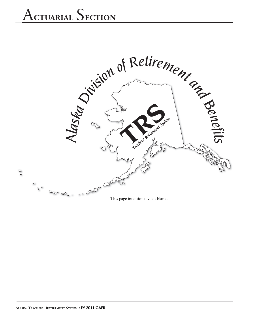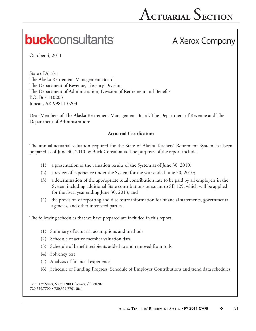## **buck**consultants

## A Xerox Company

October 4, 2011

State of Alaska The Alaska Retirement Management Board The Department of Revenue, Treasury Division The Department of Administration, Division of Retirement and Benefits P.O. Box 110203 Juneau, AK 99811-0203

Dear Members of The Alaska Retirement Management Board, The Department of Revenue and The Department of Administration:

## **Actuarial Certification**

The annual actuarial valuation required for the State of Alaska Teachers' Retirement System has been prepared as of June 30, 2010 by Buck Consultants. The purposes of the report include:

- (1) a presentation of the valuation results of the System as of June 30, 2010;
- (2) a review of experience under the System for the year ended June 30, 2010;
- (3) a determination of the appropriate total contribution rate to be paid by all employers in the System including additional State contributions pursuant to SB 125, which will be applied for the fiscal year ending June 30, 2013; and
- (4) the provision of reporting and disclosure information for financial statements, governmental agencies, and other interested parties.

The following schedules that we have prepared are included in this report:

- (1) Summary of actuarial assumptions and methods
- (2) Schedule of active member valuation data
- (3) Schedule of benefit recipients added to and removed from rolls
- (4) Solvency test
- $(5)$  Analysis of financial experience
- (6) Schedule of Funding Progress, Schedule of Employer Contributions and trend data schedules

1200 17th Street, Suite 1200 • Denver, CO 80202 720.359.7700 720.359.7701 (fax)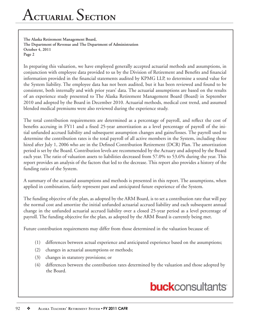## A**CTUARIAL** S**ECTION**

**The Alaska Retirement Management Board, The Department of Revenue and The Department of Administration October 4, 2011 Page 2**

In preparing this valuation, we have employed generally accepted actuarial methods and assumptions, in conjunction with employee data provided to us by the Division of Retirement and Benefits and financial information provided in the financial statements audited by KPMG LLP, to determine a sound value for the System liability. The employee data has not been audited, but it has been reviewed and found to be consistent, both internally and with prior years' data. The actuarial assumptions are based on the results of an experience study presented to The Alaska Retirement Management Board (Board) in September 2010 and adopted by the Board in December 2010. Actuarial methods, medical cost trend, and assumed blended medical premiums were also reviewed during the experience study.

The total contribution requirements are determined as a percentage of payroll, and reflect the cost of benefits accruing in FY11 and a fixed 25-year amortization as a level percentage of payroll of the initial unfunded accrued liability and subsequent assumption changes and gains/losses. The payroll used to determine the contribution rates is the total payroll of all active members in the System, including those hired after July 1, 2006 who are in the Defined Contribution Retirement (DCR) Plan. The amortization period is set by the Board. Contribution levels are recommended by the Actuary and adopted by the Board each year. The ratio of valuation assets to liabilities decreased from 57.0% to 53.6% during the year. This report provides an analysis of the factors that led to the decrease. This report also provides a history of the funding ratio of the System.

A summary of the actuarial assumptions and methods is presented in this report. The assumptions, when applied in combination, fairly represent past and anticipated future experience of the System.

The funding objective of the plan, as adopted by the ARM Board, is to set a contribution rate that will pay the normal cost and amortize the initial unfunded actuarial accrued liability and each subsequent annual change in the unfunded actuarial accrued liability over a closed 25-year period as a level percentage of payroll. The funding objective for the plan, as adopted by the ARM Board is currently being met.

Future contribution requirements may differ from those determined in the valuation because of:

- (1) differences between actual experience and anticipated experience based on the assumptions;
- (2) changes in actuarial assumptions or methods;
- (3) changes in statutory provisions; or
- (4) differences between the contribution rates determined by the valuation and those adopted by the Board.

## **buck**consultants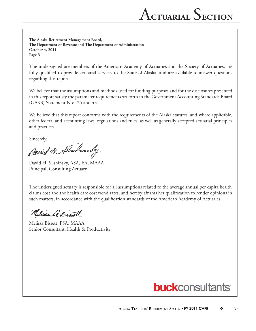**The Alaska Retirement Management Board, The Department of Revenue and The Department of Administration October 4, 2011 Page 3**

The undersigned are members of the American Academy of Actuaries and the Society of Actuaries, are fully qualified to provide actuarial services to the State of Alaska, and are available to answer questions regarding this report.

We believe that the assumptions and methods used for funding purposes and for the disclosures presented in this report satisfy the parameter requirements set forth in the Government Accounting Standards Board (GASB) Statement Nos. 25 and 43.

We believe that this report conforms with the requirements of the Alaska statutes, and where applicable, other federal and accounting laws, regulations and rules, as well as generally accepted actuarial principles and practices.

Sincerely,<br>David H. Alaskinsky

David H. Slishinsky, ASA, EA, MAAA Principal, Consulting Actuary

The undersigned actuary is responsible for all assumptions related to the average annual per capita health claims cost and the health care cost trend rates, and hereby affirms her qualification to render opinions in such matters, in accordance with the qualification standards of the American Academy of Actuaries.

Relieve a Bist

Melissa Bissett, FSA, MAAA Senior Consultant, Health & Productivity

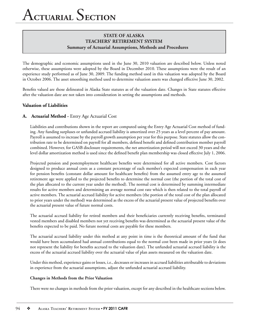The demographic and economic assumptions used in the June 30, 2010 valuation are described below. Unless noted otherwise, these assumptions were adopted by the Board in December 2010. These assumptions were the result of an experience study performed as of June 30, 2009. The funding method used in this valuation was adopted by the Board in October 2006. The asset smoothing method used to determine valuation assets was changed effective June 30, 2002.

Benefits valued are those delineated in Alaska State statutes as of the valuation date. Changes in State statutes effective after the valuation date are not taken into consideration in setting the assumptions and methods.

### **Valuation of Liabilities**

### **A. Actuarial Method -** Entry Age Actuarial Cost

Liabilities and contributions shown in the report are computed using the Entry Age Actuarial Cost method of funding. Any funding surpluses or unfunded accrued liability is amortized over 25 years as a level percent of pay amount. Payroll is assumed to increase by the payroll growth assumption per year for this purpose. State statutes allow the contribution rate to be determined on payroll for all members, defined benefit and defined contribution member payroll combined. However, for GASB disclosure requirements, the net amortization period will not exceed 30 years and the level dollar amortization method is used since the defined benefit plan membership was closed effective July 1, 2006.

Projected pension and postemployment healthcare benefits were determined for all active members. Cost factors designed to produce annual costs as a constant percentage of each member's expected compensation in each year for pension benefits (constant dollar amount for healthcare benefits) from the assumed entry age to the assumed retirement age were applied to the projected benefits to determine the normal cost (the portion of the total cost of the plan allocated to the current year under the method). The normal cost is determined by summing intermediate results for active members and determining an average normal cost rate which is then related to the total payroll of active members. The actuarial accrued liability for active members (the portion of the total cost of the plan allocated to prior years under the method) was determined as the excess of the actuarial present value of projected benefits over the actuarial present value of future normal costs.

The actuarial accrued liability for retired members and their beneficiaries currently receiving benefits, terminated vested members and disabled members not yet receiving benefits was determined as the actuarial present value of the benefits expected to be paid. No future normal costs are payable for these members.

The actuarial accrued liability under this method at any point in time is the theoretical amount of the fund that would have been accumulated had annual contributions equal to the normal cost been made in prior years (it does not represent the liability for benefits accrued to the valuation date). The unfunded actuarial accrued liability is the excess of the actuarial accrued liability over the actuarial value of plan assets measured on the valuation date.

Under this method, experience gains or losses, i.e., decreases or increases in accrued liabilities attributable to deviations in experience from the actuarial assumptions, adjust the unfunded actuarial accrued liability.

#### **Changes in Methods from the Prior Valuation**

There were no changes in methods from the prior valuation, except for any described in the healthcare sections below.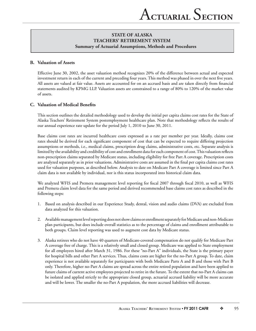### **B. Valuation of Assets**

Effective June 30, 2002, the asset valuation method recognizes 20% of the difference between actual and expected investment return in each of the current and preceding four years. This method was phased in over the next five years. All assets are valued at fair value. Assets are accounted for on an accrued basis and are taken directly from financial statements audited by KPMG LLP. Valuation assets are constrained to a range of 80% to 120% of the market value of assets.

## **C.** Valuation of Medical Benefits

This section outlines the detailed methodology used to develop the initial per capita claims cost rates for the State of Alaska Teachers' Retirement System postemployment healthcare plan. Note that methodology reflects the results of our annual experience rate update for the period July 1, 2010 to June 30, 2011.

Base claims cost rates are incurred healthcare costs expressed as a rate per member per year. Ideally, claims cost rates should be derived for each significant component of cost that can be expected to require differing projection assumptions or methods, i.e., medical claims, prescription drug claims, administrative costs, etc. Separate analysis is limited by the availability and credibility of cost and enrollment data for each component of cost. This valuation reflects non-prescription claims separated by Medicare status, including eligibility for free Part A coverage. Prescription costs are analyzed separately as in prior valuations. Administrative costs are assumed in the final per capita claims cost rates used for valuation purposes, as described below. Analysis to date on Medicare Part A coverage is limited since Part A claim data is not available by individual, nor is this status incorporated into historical claim data.

We analyzed WFIS and Premera management level reporting for fiscal 2007 through fiscal 2010, as well as WFIS and Premera claim level data for the same period and derived recommended base claims cost rates as described in the following steps:

- 1. Based on analysis described in our Experience Study, dental, vision and audio claims (DVA) are excluded from data analyzed for this valuation.
- 2. Available management level reporting does not show claims or enrollment separately for Medicare and non-Medicare plan participants, but does include overall statistics as to the percentage of claims and enrollment attributable to both groups. Claim level reporting was used to augment cost data by Medicare status.
- 3. Alaska retirees who do not have 40 quarters of Medicare-covered compensation do not qualify for Medicare Part A coverage free of charge. This is a relatively small and closed group. Medicare was applied to State employment for all employees hired after March 31, 1986. For these "no-Part A" individuals, the State is the primary payer for hospital bills and other Part A services. Thus, claims costs are higher for the no-Part A group. To date, claim experience is not available separately for participants with both Medicare Parts A and B and those with Part B only. Therefore, higher no-Part A claims are spread across the entire retired population and have been applied to future claims of current active employees projected to retire in the future. To the extent that no-Part A claims can be isolated and applied strictly to the appropriate closed group, actuarial accrued liability will be more accurate and will be lower. The smaller the no-Part A population, the more accrued liabilities will decrease.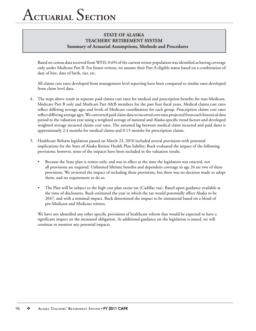Based on census data received from WFIS, 0.6% of the current retiree population was identified as having coverage only under Medicare Part B. For future retirees, we assume their Part A eligible status based on a combination of date of hire, date of birth, tier, etc.

 All claims cost rates developed from management level reporting have been compared to similar rates developed from claim level data.

- 4. The steps above result in separate paid claims cost rates for medical and prescription benefits for non-Medicare, Medicare Part B only and Medicare Part A&B members for the past four fiscal years. Medical claims cost rates reflect differing average ages and levels of Medicare coordination for each group. Prescription claims cost rates reflect differing average ages. We converted paid claim data to incurred cost rates projected from each historical data period to the valuation year using a weighted average of national and Alaska-specific trend factors and developed weighted average incurred claims cost rates. The assumed lag between medical claim incurred and paid dates is approximately 2.4 months for medical claims and 0.15 months for prescription claims.
- 5. Healthcare Reform legislation passed on March 23, 2010 included several provisions with potential implications for the State of Alaska Retiree Health Plan liability. Buck evaluated the impact of the following provisions; however, none of the impacts have been included in the valuation results.
	- Because the State plan is retiree-only, and was in effect at the time the legislation was enacted, not all provisions are required. Unlimited lifetime benefits and dependent coverage to age 26 are two of these provisions. We reviewed the impact of including these provisions, but there was no decision made to adopt them, and no requirement to do so.
	- The Plan will be subject to the high cost plan excise tax (Cadillac tax). Based upon guidance available at the time of disclosures, Buck estimated the year in which the tax would potentially affect Alaska to be 2047, and with a minimal impact. Buck determined the impact to be immaterial based on a blend of pre-Medicare and Medicare retirees.

We have not identified any other specific provisions of healthcare reform that would be expected to have a significant impact on the measured obligation. As additional guidance on the legislation is issued, we will continue to monitor any potential impacts.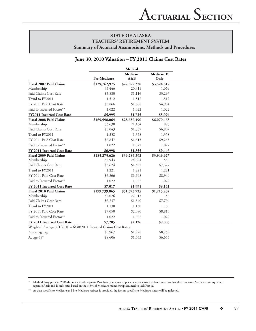#### **June 30, 2010 Valuation – FY 2011 Claims Cost Rates**

|                                                                   |               | Medical         |                           |
|-------------------------------------------------------------------|---------------|-----------------|---------------------------|
|                                                                   | Pre-Medicare  | Medicare<br>A&B | <b>Medicare B</b><br>Only |
| Fiscal 2007 Paid Claims                                           | \$129,762,975 | \$22,677,328    | \$3,524,812               |
| Membership                                                        | 33,446        | 20,315          | 1,069                     |
| Paid Claims Cost Rate                                             | \$3,880       | \$1,116         | \$3,297                   |
| Trend to FY2011                                                   | 1.512         | 1.512           | 1.512                     |
| FY 2011 Paid Cost Rate                                            | \$5,866       | \$1,688         | \$4,984                   |
| Paid to Incurred Factor**                                         | 1.022         | 1.022           | 1.022                     |
| <b>FY2011 Incurred Cost Rate</b>                                  | \$5,995       | \$1,725         | \$5,094                   |
| <b>Fiscal 2008 Paid Claims</b>                                    | \$169,598,064 | \$28,657,490    | \$6,079,463               |
| Membership                                                        | 33,630        | 21,434          | 893                       |
| Paid Claims Cost Rate                                             | \$5,043       | \$1,337         | \$6,807                   |
| Trend to FY2011                                                   | 1.358         | 1.358           | 1.358                     |
| FY 2011 Paid Cost Rate                                            | \$6,847       | \$1,815         | \$9,243                   |
| Paid to Incurred Factor**                                         | 1.022         | 1.022           | 1.022                     |
| FY 2011 Incurred Cost Rate                                        | \$6,998       | \$1,855         | \$9,446                   |
| Fiscal 2009 Paid Claims                                           | \$185,275,626 | \$39,286,392    | \$3,949,927               |
| Membership                                                        | 32,943        | 24,624          | 539                       |
| Paid Claims Cost Rate                                             | \$5,624       | \$1,595         | \$7,327                   |
| Trend to FY2011                                                   | 1.221         | 1.221           | 1.221                     |
| FY 2011 Paid Cost Rate                                            | \$6,866       | \$1,948         | \$8,944                   |
| Paid to Incurred Factor**                                         | 1.022         | 1.022           | 1.022                     |
| FY 2011 Incurred Cost Rate                                        | \$7,017       | \$1,991         | \$9,141                   |
| <b>Fiscal 2010 Paid Claims</b>                                    | \$199,739,865 | \$51,373,725    | \$1,215,832               |
| Membership                                                        | 32,026        | 27,915          | 156                       |
| Paid Claims Cost Rate                                             | \$6,237       | \$1,840         | \$7,794                   |
| Trend to FY2011                                                   | 1.130         | 1.130           | 1.130                     |
| FY 2011 Paid Cost Rate                                            | \$7,050       | \$2,080         | \$8,810                   |
| Paid to Incurred Factor**                                         | 1.022         | 1.022           | 1.022                     |
| FY 2011 Incurred Cost Rate                                        | \$7,205       | \$2,126         | \$9,003                   |
| Weighted Average 7/1/2010 - 6/30/2011 Incurred Claims Cost Rates: |               |                 |                           |
| At average age                                                    | \$6,967       | \$1,978         | \$8,756                   |
| At age 65*                                                        | \$8,606       | \$1,563         | \$6,654                   |

**\*** Methodology prior to 2006 did not include separate Part B only analysis; applicable rates above are determined so that the composite Medicare rate equates to separate A&B and B only rates based on the 3.5% of Medicare membership assumed to lack Part A.

\*\* As data specific to Medicare and Pre-Medicare retirees is provided, lag factors specific to Medicare status will be reflected.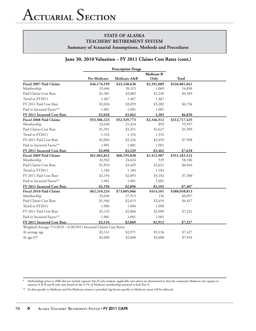#### **June 30, 2010 Valuation – FY 2011 Claims Cost Rates (cont.)**

|                                                                   | <b>Prescription Drugs</b> |              |                   |               |  |
|-------------------------------------------------------------------|---------------------------|--------------|-------------------|---------------|--|
|                                                                   |                           |              | <b>Medicare B</b> |               |  |
|                                                                   | Pre-Medicare              | Medicare A&B | Only              | <b>Total</b>  |  |
| Fiscal 2007 Paid Claims                                           | \$46,176,199              | \$42,348,638 | \$2,391,089       | \$246,881,041 |  |
| Membership                                                        | 33,446                    | 20,315       | 1,069             | 54,830        |  |
| Paid Claims Cost Rate                                             | \$1,381                   | \$2,085      | \$2,236           | \$4,503       |  |
| Trend to FY2011                                                   | 1.467                     | 1.467        | 1.467             |               |  |
| FY 2011 Paid Cost Rate                                            | \$2,026                   | \$3,059      | \$3,282           | \$6,734       |  |
| Paid to Incurred Factor**                                         | 1.001                     | 1.001        | 1.001             |               |  |
| FY 2011 Incurred Cost Rate                                        | \$2,028                   | \$3,062      | 3,285             | \$6,830       |  |
| <b>Fiscal 2008 Paid Claims</b>                                    | \$53,506,123              | \$52,529,773 | \$2,346,512       | \$312,717,425 |  |
| Membership                                                        | 33,630                    | 21,434       | 893               | 55,957        |  |
| Paid Claims Cost Rate                                             | \$1,591                   | \$2,451      | \$2,627           | \$5,589       |  |
| Trend to FY2011                                                   | 1.316                     | 1.316        | 1.316             |               |  |
| FY 2011 Paid Cost Rate                                            | \$2,094                   | \$3,226      | \$3,459           | \$7,508       |  |
| Paid to Incurred Factor**                                         | 1.001                     | 1.001        | 1.001             |               |  |
| FY 2011 Incurred Cost Rate                                        | \$2,096                   | \$3,229      | \$3,462           | \$7,618       |  |
| <b>Fiscal 2009 Paid Claims</b>                                    | \$61,062,842              | \$60,195,838 | \$1,412,907       | \$351,183,532 |  |
| Membership                                                        | 32,943                    | 24,624       | 539               | 58,106        |  |
| Paid Claims Cost Rate                                             | \$1,854                   | \$2,445      | \$2,621           | \$6,044       |  |
| Trend to FY2011                                                   | 1.184                     | 1.184        | 1.184             |               |  |
| FY 2011 Paid Cost Rate                                            | \$2,194                   | \$2,893      | \$3,102           | \$7,300       |  |
| Paid to Incurred Factor**                                         | 1.001                     | 1.001        | 1.001             |               |  |
| FY 2011 Incurred Cost Rate                                        | \$2,196                   | \$2,896      | \$3,105           | \$7,407       |  |
| <b>Fiscal 2010 Paid Claims</b>                                    | \$62,310,224              | \$73,005,066 | \$414,101         | \$388,058,813 |  |
| Membership                                                        | 32,026                    | 27,915       | 156               | 60,097        |  |
| Paid Claims Cost Rate                                             | \$1,946                   | \$2,615      | \$2,654           | \$6,457       |  |
| Trend to FY2011                                                   | 1.096                     | 1.096        | 1.096             |               |  |
| FY 2011 Paid Cost Rate                                            | \$2,132                   | \$2,866      | \$2,909           | \$7,221       |  |
| Paid to Incurred Factor**                                         | 1.001                     | 1.001        | 1.001             |               |  |
| FY 2011 Incurred Cost Rate                                        | \$2,134                   | \$2,869      | \$2,912           | \$7,327       |  |
| Weighted Average 7/1/2010 - 6/30/2011 Incurred Claims Cost Rates: |                           |              |                   |               |  |
| At average age                                                    | \$2,141                   | \$2,971      | \$3,136           | \$7,427       |  |
| At age 65*                                                        | \$2,600                   | \$2,600      | \$2,600           | \$7,924       |  |

**\*** Methodology prior to 2006 did not include separate Part B only analysis; applicable rates above are determined so that the composite Medicare rate equates to separate A & B and B only rates based on the 3.5% of Medicare membership assumed to lack Part A.

\*\* As data specific to Medicare and Pre-Medicare retirees is provided, lag factors specific to Medicare status will be reflected.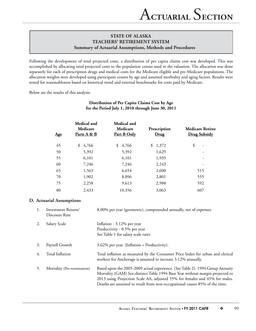Following the development of total projected costs, a distribution of per capita claims cost was developed. This was accomplished by allocating total projected costs to the population census used in the valuation. The allocation was done separately for each of prescription drugs and medical costs for the Medicare eligible and pre-Medicare populations. The allocation weights were developed using participant counts by age and assumed morbidity and aging factors. Results were tested for reasonableness based on historical trend and external benchmarks for costs paid by Medicare.

Below are the results of this analysis:

| Age | Medical and<br>Medicare<br>Parts A & B | Medical and<br>Medicare<br>Part B Only | Prescription<br>Drug | <b>Medicare Retiree</b><br><b>Drug Subsidy</b> |
|-----|----------------------------------------|----------------------------------------|----------------------|------------------------------------------------|
| 45  | \$4,766                                | \$<br>4,766                            | 1,372<br>\$          | \$<br>$\overline{\phantom{a}}$                 |
| 50  | 5,392                                  | 5,392                                  | 1,629                | $\overline{\phantom{0}}$                       |
| 55  | 6,101                                  | 6,101                                  | 1,935                |                                                |
| 60  | 7,246                                  | 7,246                                  | 2,243                | -                                              |
| 65  | 1,563                                  | 6,654                                  | 2,600                | 515                                            |
| 70  | 1,902                                  | 8,096                                  | 2,801                | 555                                            |
| 75  | 2,258                                  | 9,613                                  | 2,988                | 592                                            |
| 80  | 2,433                                  | 10,356                                 | 3,063                | 607                                            |

## **Distribution of Per Capita Claims Cost by Age for the Period July 1, 2010 through June 30, 2011**

### **D. Actuarial Assumptions**

| 1. | Investment Return/<br>Discount Rate | 8.00% per year (geometric), compounded annually, net of expenses.                                                                                                                                                                                                                                                           |
|----|-------------------------------------|-----------------------------------------------------------------------------------------------------------------------------------------------------------------------------------------------------------------------------------------------------------------------------------------------------------------------------|
|    | Salary Scale                        | Inflation - 3.12% per year<br>Productivity - 0.5% per year<br>See Table 1 for salary scale rates                                                                                                                                                                                                                            |
| 3. | Payroll Growth                      | 3.62% per year. (Inflation + Productivity).                                                                                                                                                                                                                                                                                 |
| 4. | Total Inflation                     | Total inflation as measured by the Consumer Price Index for urban and clerical<br>workers for Anchorage is assumed to increase 3.12% annually.                                                                                                                                                                              |
|    | Mortality (Pre-termination)         | Based upon the 2005-2009 actual experience. (See Table 2). 1994 Group Annuity<br>Mortality (GAM) Sex-distinct Table 1994 Base Year without margin projected to<br>2013 using Projection Scale AA, adjusted 55% for females and 45% for males.<br>Deaths are assumed to result from non-occupational causes 85% of the time. |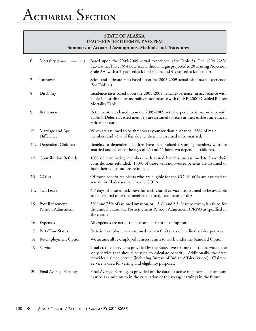| 6.  | Mortality (Post-termination)              | Based upon the 2005-2009 actual experience. (See Table 3). The 1994 GAM<br>Sex-distinct Table 1994 Base Year without margin projected to 2013 using Projection<br>Scale AA, with a 3-year setback for females and 4-year setback for males.                                                                       |
|-----|-------------------------------------------|-------------------------------------------------------------------------------------------------------------------------------------------------------------------------------------------------------------------------------------------------------------------------------------------------------------------|
| 7.  | Turnover                                  | Select and ultimate rates based upon the 2005-2009 actual withdrawal experience.<br>(See Table 4.)                                                                                                                                                                                                                |
| 8.  | Disability                                | Incidence rates based upon the 2005-2009 actual experience, in accordance with<br>Table 5. Post-disability mortality in accordance with the RP-2000 Disabled Retiree<br>Mortality Table.                                                                                                                          |
| 9.  | Retirement                                | Retirement rates based upon the 2005-2009 actual experience in accordance with<br>Table 6. Deferred vested members are assumed to retire at their earliest unreduced<br>retirement date.                                                                                                                          |
| 10. | Marriage and Age<br>Difference            | Wives are assumed to be three years younger than husbands. 85% of male<br>members and 75% of female members are assumed to be married.                                                                                                                                                                            |
| 11. | Dependent Children                        | Benefits to dependent children have been valued assuming members who are<br>married and between the ages of 25 and 45 have two dependent children.                                                                                                                                                                |
|     | 12. Contribution Refunds                  | 10% of terminating members with vested benefits are assumed to have their<br>contributions refunded. 100% of those with non-vested benefits are assumed to<br>have their contributions refunded.                                                                                                                  |
|     | 13. COLA                                  | Of those benefit recipients who are eligible for the COLA, 60% are assumed to<br>remain in Alaska and receive the COLA.                                                                                                                                                                                           |
|     | 14. Sick Leave                            | 4.7 days of unused sick leave for each year of service are assumed to be available<br>to be credited once the member is retired, terminates or dies.                                                                                                                                                              |
|     | 15. Post Retirement<br>Pension Adjustment | 50% and 75% of assumed inflation, or 1.56% and 2.34% respectively, is valued for<br>the annual automatic Postretirement Pension Adjustment (PRPA) as specified in<br>the statute.                                                                                                                                 |
|     | 16. Expenses                              | All expenses are net of the investment return assumption.                                                                                                                                                                                                                                                         |
|     | 17. Part-Time Status                      | Part-time employees are assumed to earn 0.60 years of credited service per year.                                                                                                                                                                                                                                  |
|     | 18. Re-employment Option                  | We assume all re-employed retirees return to work under the Standard Option.                                                                                                                                                                                                                                      |
|     | 19. Service                               | Total credited service is provided by the State. We assume that this service is the<br>only service that should be used to calculate benefits. Additionally, the State<br>provides claimed service (including Bureau of Indian Affairs Service). Claimed<br>service is used for vesting and eligibility purposes. |
|     | 20. Final Average Earnings                | Final Average Earnings is provided on the data for active members. This amount<br>is used as a minimum in the calculation of the average earnings in the future.                                                                                                                                                  |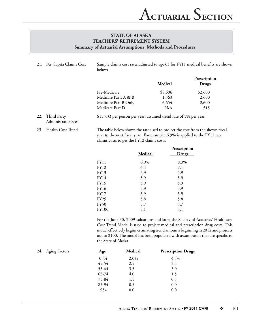21. Per Capita Claims Cost Sample claims cost rates adjusted to age 65 for FY11 medical benefits are shown below:

|                      | <b>Medical</b> | Prescription<br>Drugs |
|----------------------|----------------|-----------------------|
| Pre-Medicare         | \$8,606        | \$2,600               |
| Medicare Parts A & B | 1,563          | 2,600                 |
| Medicare Part B Only | 6,654          | 2,600                 |
| Medicare Part D      | N/A            | 515                   |

<sup>22.</sup> Third Party \$153.33 per person per year; assumed trend rate of 5% per year. Administrator Fees

23. Health Cost Trend The table below shows the rate used to project the cost from the shown fiscal year to the next fiscal year. For example, 6.9% is applied to the FY11 rate claims costs to get the FY12 claims costs.

|              |         | Prescription |
|--------------|---------|--------------|
|              | Medical | <b>Drugs</b> |
| FY11         | 6.9%    | 8.3%         |
| <b>FY12</b>  | 6.4     | 7.1          |
| FY13         | 5.9     | 5.9          |
| FY14         | 5.9     | 5.9          |
| <b>FY15</b>  | 5.9     | 5.9          |
| <b>FY16</b>  | 5.9     | 5.9          |
| <b>FY17</b>  | 5.9     | 5.9          |
| <b>FY25</b>  | 5.8     | 5.8          |
| <b>FY50</b>  | 5.7     | 5.7          |
| <b>FY100</b> | 5.1     | 5.1          |

For the June 30, 2009 valuations and later, the Society of Actuaries' Healthcare Cost Trend Model is used to project medical and prescription drug costs. This model effectively begins estimating trend amounts beginning in 2012 and projects out to 2100. The model has been populated with assumptions that are specific to the State of Alaska.

| <b>Aging Factors</b><br>24. | <u>Age</u> | Medical | <b>Prescription Drugs</b> |
|-----------------------------|------------|---------|---------------------------|
|                             | $0-44$     | 2.0%    | 4.5%                      |
|                             | 45-54      | 2.5     | 3.5                       |
|                             | 55-64      | 3.5     | 3.0                       |
|                             | 65-74      | 4.0     | 1.5                       |
|                             | 75-84      | 1.5     | 0.5                       |
|                             | 85-94      | 0.5     | 0.0                       |
|                             | $95+$      | 0.0     | 0.0                       |
|                             |            |         |                           |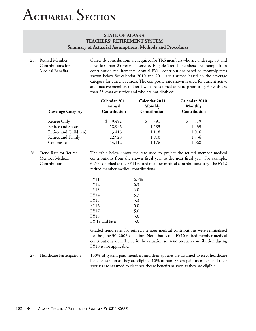25. Retired Member Currently contributions are required for TRS members who are under age 60 and Contributions for have less than 25 years of service. Eligible Tier 1 members are exempt from Medical Benefits **the contribution requirements. Annual FY11 contributions based on monthly rates** shown below for calendar 2010 and 2011 are assumed based on the coverage category for current retirees. The composite rate shown is used for current active and inactive members in Tier 2 who are assumed to retire prior to age 60 with less than 25 years of service and who are not disabled:

| <b>Coverage Category</b> | Calendar 2011<br>Annual<br>Contribution | Calendar 2011<br>Monthly<br>Contribution | Calendar 2010<br>Monthly<br>Contribution |
|--------------------------|-----------------------------------------|------------------------------------------|------------------------------------------|
| Retiree Only             | 9,492                                   | 791                                      | 719<br>S                                 |
| Retiree and Spouse       | 18,996                                  | 1,583                                    | 1,439                                    |
| Retiree and Child(ren)   | 13,416                                  | 1,118                                    | 1,016                                    |
| Retiree and Family       | 22,920                                  | 1,910                                    | 1,736                                    |
| Composite                | 14,112                                  | 1,176                                    | 1,068                                    |

26. Trend Rate for Retired The table below shows the rate used to project the retired member medical Member Medical contributions from the shown fiscal year to the next fiscal year. For example, Contribution 6.7% is applied to the FY11 retired member medical contributions to get the FY12 retired member medical contributions.

| <b>FY11</b>     | 6.7% |
|-----------------|------|
| FY12            | 6.3  |
| FY13            | 6.0  |
| FY14            | 5.7  |
| <b>FY15</b>     | 5.3  |
| <b>FY16</b>     | 5.0  |
| <b>FY17</b>     | 5.0  |
| <b>FY18</b>     | 5.0  |
| FY 19 and later | 5.0  |

Graded trend rates for retired member medical contributions were reinitialized for the June 30, 2005 valuation. Note that actual FY10 retired member medical contributions are reflected in the valuation so trend on such contribution during FY10 is not applicable.

27. Healthcare Participation 100% of system paid members and their spouses are assumed to elect healthcare benefits as soon as they are eligible. 10% of non-system paid members and their spouses are assumed to elect healthcare benefits as soon as they are eligible.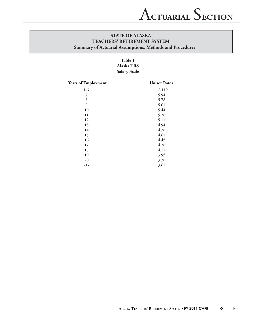## **Table 1 Alaska TRS Salary Scale**

| <b>Years of Employment</b> | <b>Unisex Rates</b> |
|----------------------------|---------------------|
| $1-6$                      | 6.11%               |
| 7                          | 5.94                |
| $\,8\,$                    | 5.78                |
| 9                          | 5.61                |
| 10                         | 5.44                |
| 11                         | 5.28                |
| 12                         | 5.11                |
| 13                         | 4.94                |
| 14                         | 4.78                |
| 15                         | 4.61                |
| 16                         | 4.45                |
| 17                         | 4.28                |
| 18                         | 4.11                |
| 19                         | 3.95                |
| 20                         | 3.78                |
| $21+$                      | 3.62                |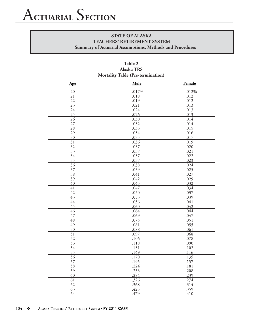## **Table 2 Alaska TRS Mortality Table (Pre-termination)**

| Age             | Male  | <b>Female</b> |
|-----------------|-------|---------------|
| 20              | .017% | .012%         |
| 21              | .018  | .012          |
| 22              | .019  | .012          |
| 23              | .021  | .013          |
| 24              | .024  | .013          |
| 25              | .026  | .013          |
| $\overline{26}$ | .030  | .014          |
| 27              | .032  | .014          |
| 28              | .033  | .015          |
| 29              | .034  | .016          |
| 30              | .035  | .017          |
| $\overline{31}$ | .036  | .019          |
| 32              | .037  | .020          |
| 33              | .037  | .021          |
| 34              | .037  | .022          |
| 35              | .037  | .023          |
| $\overline{36}$ | .038  | .024          |
| 37              | .039  | .025          |
| 38              | .041  | .027          |
| 39              | .042  | .029          |
| 40              | .045  | .032          |
| 41              | .047  | .034          |
| 42              | .050  | .037          |
| 43              | .053  | .039          |
| 44              | .056  | .041          |
| 45              | .060  | .042          |
| $\overline{46}$ | .064  | .044          |
| 47              | .069  | .047          |
| 48              | .075  | .051          |
| 49              | .081  | .055          |
| 50              | .088  | .061          |
| $\overline{51}$ | .097  | .068          |
| 52              | .106  | .078          |
| 53              | .118  | .090          |
| 54              | .131  | .102          |
| 55              | .149  | .116          |
| $\overline{56}$ | .170  | .135          |
| 57              | .195  | .157          |
| 58              | .224  | .181          |
| 59              | .253  | .208          |
| 60              | .284  | .239          |
| $\overline{61}$ | .326  | .274          |
| 62              | .368  | .314          |
| 63              | .425  | .359          |
| 64              | .479  | .410          |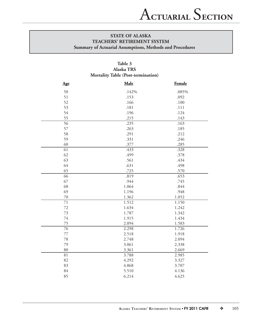|                 | 1,101 <b></b><br>$\mathbf{r}$ |        |  |  |  |  |
|-----------------|-------------------------------|--------|--|--|--|--|
| Age             | Male                          | Female |  |  |  |  |
| 50              | .142%                         | .085%  |  |  |  |  |
| 51              | .153                          | .092   |  |  |  |  |
| 52              | .166                          | .100   |  |  |  |  |
| 53              | .181                          | .111   |  |  |  |  |
| 54              | .196                          | .124   |  |  |  |  |
| 55              | .215                          | .143   |  |  |  |  |
| $\overline{56}$ | .235                          | .163   |  |  |  |  |
| 57              | .263                          | .185   |  |  |  |  |
| 58              | .291                          | .212   |  |  |  |  |
| 59              | .331                          | .246   |  |  |  |  |
| 60              | .377                          | .285   |  |  |  |  |
| 61              | .433                          | .328   |  |  |  |  |
| 62              | .499                          | .378   |  |  |  |  |
| 63              | .561                          | .434   |  |  |  |  |
| 64              | .631                          | .498   |  |  |  |  |
| 65              | .725                          | .570   |  |  |  |  |
| $\overline{66}$ | .819                          | .653   |  |  |  |  |
| 67              | .944                          | .745   |  |  |  |  |
| 68              | 1.064                         | .844   |  |  |  |  |
| 69              | 1.196                         | .948   |  |  |  |  |
| $70\,$          | 1.362                         | 1.052  |  |  |  |  |
| $\overline{71}$ | 1.512                         | 1.150  |  |  |  |  |
| 72              | 1.634                         | 1.242  |  |  |  |  |
| 73              | 1.787                         | 1.342  |  |  |  |  |
| 74              | 1.915                         | 1.434  |  |  |  |  |
| 75              | 2.094                         | 1.583  |  |  |  |  |
| $\overline{76}$ | 2.298                         | 1.726  |  |  |  |  |
| $77\,$          | 2.518                         | 1.918  |  |  |  |  |
| 78              | 2.748                         | 2.094  |  |  |  |  |
| 79              | 3.061                         | 2.338  |  |  |  |  |
| 80              | 3.361                         | 2.669  |  |  |  |  |
| $\overline{81}$ | 3.788                         | 2.985  |  |  |  |  |
| 82              | 4.292                         | 3.327  |  |  |  |  |
| 83              | 4.868                         | 3.707  |  |  |  |  |
| 84              | 5.510                         | 4.136  |  |  |  |  |
| 85              | 6.214                         | 4.625  |  |  |  |  |

## **Table 3 Alaska TRS Mortality Table (Post-termination)**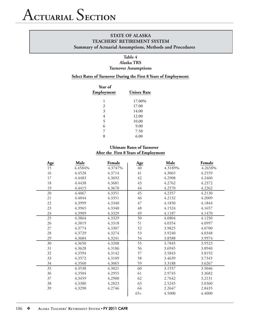**Summary of Actuarial Assumptions, Methods and Procedures**

## **Table 4 Alaska TRS Turnover Assumptions**

#### **Select Rates of Turnover During the First 8 Years of Employment:**

| Year of<br>Employment | <b>Unisex Rate</b> |
|-----------------------|--------------------|
| 1                     | 17.00%             |
| 2                     | 17.00              |
| 3                     | 14.00              |
| 4                     | 12.00              |
| 5                     | 10.00              |
| 6                     | 9.00               |
| 7                     | 7.50               |
| 8                     | 6.00               |

## **Ultimate Rates of Turnover After the First 8 Years of Employment**

| <u>Age</u> | Male    | Female  | $\mathbf{Age}$ | Male    | Female  |
|------------|---------|---------|----------------|---------|---------|
| 15         | 4.4584% | 4.3747% | $40\,$         | 4.3189% | 4.2658% |
| 16         | 4.4528  | 4.3714  | 41             | 4.3065  | 4.2559  |
| 17         | 4.4483  | 4.3692  | 42             | 4.2908  | 4.2460  |
| 18         | 4.4438  | 4.3681  | 43             | 4.2762  | 4.2372  |
| 19         | 4.4415  | 4.3670  | $44$           | 4.2570  | 4.2262  |
| 20         | 4.4067  | 4.3351  | 45             | 4.2357  | 4.2130  |
| 21         | 4.4044  | 4.3351  | 46             | 4.2132  | 4.2009  |
| 22         | 4.3999  | 4.3340  | 47             | 4.1850  | 4.1844  |
| 23         | 4.3965  | 4.3340  | 48             | 4.1524  | 4.1657  |
| $24\,$     | 4.3909  | 4.3329  | 49             | 4.1187  | 4.1470  |
| 25         | 4.3864  | 4.3329  | 50             | 4.0804  | 4.1250  |
| 26         | 4.3819  | 4.3318  | 51             | 4.0354  | 4.0997  |
| $27\,$     | 4.3774  | 4.3307  | 52             | 3.9825  | 4.0700  |
| 28         | 4.3729  | 4.3274  | 53             | 3.9240  | 4.0348  |
| 29         | 4.3684  | 4.3241  | 54             | 3.8588  | 3.9974  |
| 30         | 4.3650  | 4.3208  | 55             | 3.7845  | 3.9523  |
| 31         | 4.3628  | 4.3186  | 56             | 3.6945  | 3.8940  |
| 32         | 4.3594  | 4.3142  | 57             | 3.5843  | 3.8192  |
| 33         | 4.3572  | 4.3109  | 58             | 3.4639  | 3.7345  |
| 34         | 4.3560  | 4.3065  | 59             | 3.3188  | 3.6267  |
| 35         | 4.3538  | 4.3021  | 60             | 3.1557  | 3.5046  |
| 36         | 4.3504  | 4.2955  | 61             | 2.9745  | 3.3682  |
| 37         | 4.3459  | 4.2900  | 62             | 2.7642  | 3.2131  |
| 38         | 4.3380  | 4.2823  | 63             | 2.5245  | 3.0360  |
| 39         | 4.3290  | 4.2746  | 64             | 2.2647  | 2.8435  |
|            |         |         | $65+$          | 4.5000  | 4.4000  |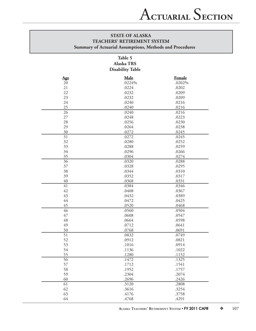## **Table 5 Alaska TRS Disability Table**

| Age             | Male   | <b>Female</b> |
|-----------------|--------|---------------|
| 20              | .0224% | .0202%        |
| 21              | .0224  | .0202         |
| 22              | .0232  | .0209         |
| 23              | .0232  | .0209         |
| 24              | .0240  | .0216         |
| 25              | .0240  | .0216         |
| 26              | .0240  | .0216         |
| $27\,$          | .0248  | .0223         |
| 28              | .0256  | .0230         |
| 29              | .0264  | .0238         |
| 30              | .0272  | .0245         |
| 31              | .0272  | .0245         |
| 32              | .0280  | .0252         |
| 33              | .0288  | .0259         |
| 34              | .0296  | .0266         |
| 35              | .0304  | .0274         |
| 36              | .0320  | .0288         |
| 37              | .0328  | .0295         |
| 38              | .0344  | .0310         |
| 39              | .0352  | .0317         |
| 40              | .0368  | .0331         |
| 41              | .0384  | .0346         |
| 42              | .0408  | .0367         |
| 43              | .0432  | .0389         |
| $44$            | .0472  | .0425         |
| 45              | .0520  | .0468         |
| 46              | .0560  | .0504         |
| 47              | .0608  | .0547         |
| 48              | .0664  | .0598         |
| 49              | .0712  | .0641         |
| 50              | .0768  | .0691         |
| $\overline{51}$ | .0832  | .0749         |
| 52              | .0912  | .0821         |
| 53              | .1016  | .0914         |
| 54              | .1136  | .1022         |
| 55              | .1280  | .1152         |
| 56              | .1472  | .1325         |
| 57              | .1712  | .1541         |
| 58              | .1952  | .1757         |
| 59              | .2304  | .2074         |
| 60              | .2696  | .2426         |
| 61              | .3120  | .2808         |
| 62              | .3616  | .3254         |
| 63              | .4176  | .3758         |
| 64              | .4768  | .4291         |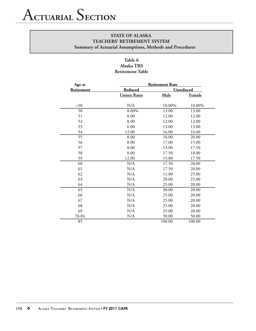## **Table 6 Alaska TRS Retirement Table**

| Age at     | <b>Retirement Rate</b> |        |                  |  |  |
|------------|------------------------|--------|------------------|--|--|
| Retirement | Reduced                |        | <b>Unreduced</b> |  |  |
|            | <b>Unisex Rates</b>    | Male   | <b>Female</b>    |  |  |
|            |                        |        |                  |  |  |
| < 50       | $\rm N/A$              | 10.00% | 10.00%           |  |  |
| 50         | 8.00%                  | 13.00  | 13.00            |  |  |
| 51         | 8.00                   | 12.00  | 12.00            |  |  |
| 52         | 8.00                   | 12.00  | 12.00            |  |  |
| 53         | 6.00                   | 13.00  | 13.00            |  |  |
| 54         | 12.00                  | 16.00  | 16.00            |  |  |
| 55         | 8.00                   | 18.00  | 20.00            |  |  |
| 56         | 8.00                   | 17.00  | 15.00            |  |  |
| 57         | 8.00                   | 13.00  | 17.50            |  |  |
| 58         | 8.00                   | 17.50  | 18.00            |  |  |
| 59         | 12.00                  | 15.00  | 17.50            |  |  |
| 60         | N/A                    | 17.50  | 20.00            |  |  |
| 61         | N/A                    | 17.50  | 20.00            |  |  |
| 62         | N/A                    | 11.00  | 25.00            |  |  |
| 63         | N/A                    | 20.00  | 25.00            |  |  |
| 64         | N/A                    | 25.00  | 20.00            |  |  |
| 65         | N/A                    | 30.00  | 20.00            |  |  |
| 66         | N/A                    | 25.00  | 20.00            |  |  |
| 67         | N/A                    | 25.00  | 20.00            |  |  |
| 68         | N/A                    | 25.00  | 20.00            |  |  |
| 69         | N/A                    | 25.00  | 20.00            |  |  |
| 70-84      | N/A                    | 50.00  | 50.00            |  |  |
| 85         |                        | 100.00 | 100.00           |  |  |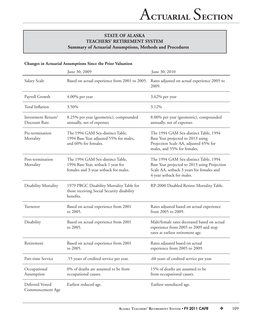#### **Changes in Actuarial Assumptions Since the Prior Valuation**

|                                     | June 30, 2009                                                                                                   | June 30, 2010                                                                                                                                                   |
|-------------------------------------|-----------------------------------------------------------------------------------------------------------------|-----------------------------------------------------------------------------------------------------------------------------------------------------------------|
| Salary Scale                        | Based on actual experience from 2001 to 2005.                                                                   | Rates adjusted on actual experience 2005 to<br>2009.                                                                                                            |
| Payroll Growth                      | $4.00\%$ per year                                                                                               | 3.62% per year                                                                                                                                                  |
| Total Inflation                     | 3.50%                                                                                                           | 3.12%                                                                                                                                                           |
| Investment Return/<br>Discount Rate | 8.25% per year (geometric), compounded<br>annually, net of expenses                                             | 8.00% per year (geometric), compounded<br>annually, net of expenses                                                                                             |
| Pre-termination<br>Mortality        | The 1994 GAM Sex-distinct Table,<br>1994 Base Year adjusted 55% for males,<br>and 60% for females.              | The 1994 GAM Sex-distinct Table, 1994<br>Base Year projected to 2013 using<br>Projection Scale AA, adjusted 45% for<br>males, and 55% for females.              |
| Post-termination<br>Mortality       | The 1994 GAM Sex-distinct Table,<br>1994 Base Year, setback 1 year for<br>females and 3-year setback for males. | The 1994 GAM Sex-distinct Table, 1994<br>Base Year projected to 2013 using Projection<br>Scale AA, setback 3 years for females and<br>4-year setback for males. |
| Disability Mortality                | 1979 PBGC Disability Mortality Table for<br>those receiving Social Security disability<br>benefits.             | RP-2000 Disabled Retiree Mortality Table.                                                                                                                       |
| Turnover                            | Based on actual experience from 2001<br>to 2005.                                                                | Rates adjusted based on actual experience<br>from 2005 to 2009.                                                                                                 |
| Disability                          | Based on actual experience from 2001<br>to 2005.                                                                | Male/female rates decreased based on actual<br>experience from 2005 to 2009 and stop<br>rates at earliest retirement age.                                       |
| Retirement                          | Based on actual experience from 2001<br>to 2005.                                                                | Rates adjusted based on actual<br>experience from 2005 to 2009.                                                                                                 |
| Part-time Service                   | .55 years of credited service per year.                                                                         | .60 years of credited service per year.                                                                                                                         |
| Occupational<br>Assumption          | 0% of deaths are assumed to be from<br>occupational causes.                                                     | 15% of deaths are assumed to be<br>from occupational causes.                                                                                                    |
| Deferred Vested<br>Commencement Age | Earliest reduced age.                                                                                           | Earliest unreduced age.                                                                                                                                         |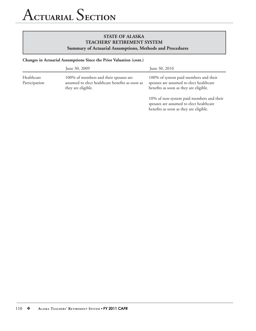#### **Changes in Actuarial Assumptions Since the Prior Valuation (cont.)**

|                             | June 30, 2009                                                                                                  | June 30, 2010                                                                                                                 |
|-----------------------------|----------------------------------------------------------------------------------------------------------------|-------------------------------------------------------------------------------------------------------------------------------|
| Healthcare<br>Participation | 100% of members and their spouses are<br>assumed to elect healthcare benefits as soon as<br>they are eligible. | 100% of system paid members and their<br>spouses are assumed to elect healthcare<br>benefits as soon as they are eligible.    |
|                             |                                                                                                                | 10% of non-system paid members and their<br>spouses are assumed to elect healthcare<br>benefits as soon as they are eligible. |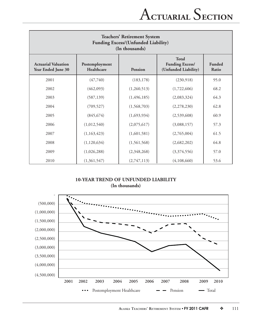| <b>Teachers' Retirement System</b><br><b>Funding Excess/(Unfunded Liability)</b><br>(In thousands) |                              |               |                                                                |                        |  |  |  |
|----------------------------------------------------------------------------------------------------|------------------------------|---------------|----------------------------------------------------------------|------------------------|--|--|--|
| <b>Actuarial Valuation</b><br>Year Ended June 30                                                   | Postemployment<br>Healthcare | Pension       | <b>Total</b><br><b>Funding Excess/</b><br>(Unfunded Liability) | <b>Funded</b><br>Ratio |  |  |  |
| 2001                                                                                               | (47,740)                     | (183, 178)    | (230,918)                                                      | 95.0                   |  |  |  |
| 2002                                                                                               | (462,093)                    | (1,260,513)   | (1,722,606)                                                    | 68.2                   |  |  |  |
| 2003                                                                                               | (587, 139)                   | (1, 496, 185) | (2,083,324)                                                    | 64.3                   |  |  |  |
| 2004                                                                                               | (709, 527)                   | (1,568,703)   | (2,278,230)                                                    | 62.8                   |  |  |  |
| 2005                                                                                               | (845, 674)                   | (1,693,934)   | (2,539,608)                                                    | 60.9                   |  |  |  |
| 2006                                                                                               | (1,012,540)                  | (2,075,617)   | (3,088,157)                                                    | 57.3                   |  |  |  |
| 2007                                                                                               | (1,163,423)                  | (1,601,581)   | (2,765,004)                                                    | 61.5                   |  |  |  |
| 2008                                                                                               | (1,120,634)                  | (1,561,568)   | (2,682,202)                                                    | 64.8                   |  |  |  |
| 2009                                                                                               | (1,026,288)                  | (2,348,268)   | (3,374,556)                                                    | 57.0                   |  |  |  |
| 2010                                                                                               | (1,361,547)                  | (2,747,113)   | (4,108,660)                                                    | 53.6                   |  |  |  |

## **10-YEAR TREND OF UNFUNDED LIABILITY (In thousands)**

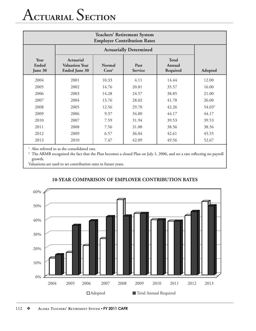# A**CTUARIAL** S**ECTION**

| <b>Teachers' Retirement System</b><br><b>Employer Contribution Rates</b> |                                                                   |                               |       |       |                    |  |  |  |  |
|--------------------------------------------------------------------------|-------------------------------------------------------------------|-------------------------------|-------|-------|--------------------|--|--|--|--|
|                                                                          |                                                                   | <b>Actuarially Determined</b> |       |       |                    |  |  |  |  |
| Year<br>Ended<br>June 30                                                 | <b>Actuarial</b><br><b>Valuation Year</b><br><b>Ended June 30</b> | Adopted                       |       |       |                    |  |  |  |  |
| 2004                                                                     | 2001                                                              | 10.33                         | 4.11  | 14.44 | 12.00              |  |  |  |  |
| 2005                                                                     | 2002                                                              | 14.76                         | 20.81 | 35.57 | 16.00              |  |  |  |  |
| 2006                                                                     | 2003                                                              | 14.28                         | 24.57 | 38.85 | 21.00              |  |  |  |  |
| 2007                                                                     | 2004                                                              | 13.76                         | 28.02 | 41.78 | 26.00              |  |  |  |  |
| 2008                                                                     | 2005                                                              | 12.56                         | 29.70 | 42.26 | 54.03 <sup>2</sup> |  |  |  |  |
| 2009                                                                     | 2006                                                              | 9.37                          | 34.80 | 44.17 | 44.17              |  |  |  |  |
| 2010                                                                     | 2007                                                              | 7.59                          | 31.94 | 39.53 | 39.53              |  |  |  |  |
| 2011                                                                     | 2008                                                              | 7.56                          | 31.00 | 38.56 | 38.56              |  |  |  |  |
| 2012                                                                     | 2009                                                              | 6.57                          | 36.04 | 42.61 | 45.55              |  |  |  |  |
| 2013                                                                     | 2010                                                              | 7.47                          | 42.09 | 49.56 | 52.67              |  |  |  |  |

 $^{\rm 1}$  Also referred to as the consolidated rate.

<sup>2</sup> The ARMB recognized the fact that the Plan becomes a closed Plan on July 1, 2006, and set a rate reflecting no payroll growth.

Valuations are used to set contribution rates in future years.



## **10-YEAR COMPARISON OF EMPLOYER CONTRIBUTION RATES**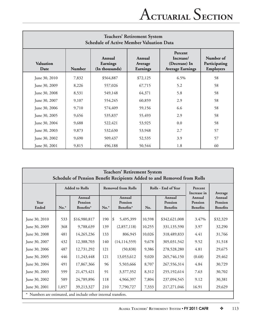| <b>Teachers' Retirement System</b><br><b>Schedule of Active Member Valuation Data</b> |        |                                      |                               |                                                                  |                                                |  |  |  |
|---------------------------------------------------------------------------------------|--------|--------------------------------------|-------------------------------|------------------------------------------------------------------|------------------------------------------------|--|--|--|
| <b>Valuation</b><br>Date                                                              | Number | Annual<br>Earnings<br>(In thousands) | Annual<br>Average<br>Earnings | Percent<br>Increase/<br>(Decrease) In<br><b>Average Earnings</b> | Number of<br>Participating<br><b>Employers</b> |  |  |  |
| June 30, 2010                                                                         | 7,832  | \$564,887                            | \$72,125                      | 6.5%                                                             | 58                                             |  |  |  |
| June 30, 2009                                                                         | 8,226  | 557,026                              | 67,715                        | 5.2                                                              | 58                                             |  |  |  |
| June 30, 2008                                                                         | 8,531  | 549,148                              | 64,371                        | 5.8                                                              | 58                                             |  |  |  |
| June 30, 2007                                                                         | 9,107  | 554,245                              | 60,859                        | 2.9                                                              | 58                                             |  |  |  |
| June 30, 2006                                                                         | 9,710  | 574,409                              | 59,156                        | 6.6                                                              | 58                                             |  |  |  |
| June 30, 2005                                                                         | 9,656  | 535,837                              | 55,493                        | 2.9                                                              | 58                                             |  |  |  |
| June 30, 2004                                                                         | 9,688  | 522,421                              | 53,925                        | 0.0                                                              | 58                                             |  |  |  |
| June 30, 2003                                                                         | 9,873  | 532,630                              | 53,948                        | 2.7                                                              | 57                                             |  |  |  |
| June 30, 2002                                                                         | 9,690  | 509,437                              | 52,535                        | 3.9                                                              | 57                                             |  |  |  |
| June 30, 2001                                                                         | 9,815  | 496,188                              | 50,544                        | 1.8                                                              | 60                                             |  |  |  |

| <b>Teachers' Retirement System</b><br>Schedule of Pension Benefit Recipients Added to and Removed from Rolls |        |                                       |        |                                                  |        |                                      |                                      |                                      |                        |         |
|--------------------------------------------------------------------------------------------------------------|--------|---------------------------------------|--------|--------------------------------------------------|--------|--------------------------------------|--------------------------------------|--------------------------------------|------------------------|---------|
|                                                                                                              |        | <b>Added to Rolls</b>                 |        | <b>Removed from Rolls</b><br>Rolls - End of Year |        |                                      |                                      |                                      | Percent<br>Increase in | Average |
| Year<br><b>Ended</b>                                                                                         | $No.*$ | Annual<br><b>Pension</b><br>Benefits* | $No.*$ | Annual<br>Pension<br>Benefits*                   | No.    | Annual<br>Pension<br><b>Benefits</b> | Annual<br>Pension<br><b>Benefits</b> | Annual<br>Pension<br><b>Benefits</b> |                        |         |
| June 30, 2010                                                                                                | 533    | \$16,980,817                          | 190    | \$<br>5,495,399                                  | 10,598 | \$342,621,008                        | 3.47%                                | \$32,329                             |                        |         |
| June 30, 2009                                                                                                | 368    | 9,788,639                             | 139    | (2,857,118)                                      | 10,255 | 331,135,590                          | 3.97                                 | 32,290                               |                        |         |
| June 30, 2008                                                                                                | 481    | 14,265,236                            | 133    | 806,945                                          | 10,026 | 318,489,833                          | 4.41                                 | 31,766                               |                        |         |
| June 30, 2007                                                                                                | 432    | 12,388,703                            | 140    | (14, 114, 559)                                   | 9,678  | 305,031,542                          | 9.52                                 | 31,518                               |                        |         |
| June 30, 2006                                                                                                | 487    | 12,731,292                            | 121    | (50, 838)                                        | 9,386  | 278,528,280                          | 4.81                                 | 29,675                               |                        |         |
| June 30, 2005                                                                                                | 446    | 11,243,448                            | 121    | 13,053,612                                       | 9,020  | 265,746,150                          | (0.68)                               | 29,462                               |                        |         |
| June 30, 2004                                                                                                | 491    | 17,867,366                            | 96     | 5,503,666                                        | 8,707  | 267,556,314                          | 4.84                                 | 30,729                               |                        |         |
| June 30, 2003                                                                                                | 599    | 21, 475, 421                          | 91     | 3,377,352                                        | 8,312  | 255,192,614                          | 7.63                                 | 30,702                               |                        |         |
| June 30, 2002                                                                                                | 589    | 24,789,896                            | 118    | 4,966,397                                        | 7,804  | 237,094,545                          | 9.12                                 | 30,381                               |                        |         |
| June 30, 2001                                                                                                | 1,057  | 39,213,327                            | 210    | 7,790,727                                        | 7,333  | 217,271,046                          | 16.91                                | 29,629                               |                        |         |
| * Numbers are estimated, and include other internal transfers.                                               |        |                                       |        |                                                  |        |                                      |                                      |                                      |                        |         |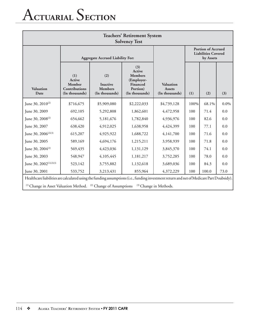# A**CTUARIAL** S**ECTION**

| <b>Teachers' Retirement System</b><br><b>Solvency Test</b>                                                                                                                                                                         |                                                                   |                                                            |                                                                                                |                                                                      |      |       |         |  |
|------------------------------------------------------------------------------------------------------------------------------------------------------------------------------------------------------------------------------------|-------------------------------------------------------------------|------------------------------------------------------------|------------------------------------------------------------------------------------------------|----------------------------------------------------------------------|------|-------|---------|--|
|                                                                                                                                                                                                                                    | <b>Aggregate Accrued Liability For:</b>                           |                                                            |                                                                                                | <b>Portion of Accrued</b><br><b>Liabilities Covered</b><br>by Assets |      |       |         |  |
| <b>Valuation</b><br>Date                                                                                                                                                                                                           | (1)<br>Active<br><b>Member</b><br>Contributions<br>(In thousands) | (2)<br><b>Inactive</b><br><b>Members</b><br>(In thousands) | (3)<br>Active<br><b>Members</b><br>(Employer-<br><b>Financed</b><br>Portion)<br>(In thousands) | <b>Valuation</b><br><b>Assets</b><br>(In thousands)                  | (1)  | (2)   | (3)     |  |
| June 30, $2010^{(2)}$                                                                                                                                                                                                              | \$716,675                                                         | \$5,909,080                                                | \$2,222,033                                                                                    | \$4,739,128                                                          | 100% | 68.1% | $0.0\%$ |  |
| June 30, 2009                                                                                                                                                                                                                      | 692,105                                                           | 5,292,808                                                  | 1,862,601                                                                                      | 4,472,958                                                            | 100  | 71.4  | 0.0     |  |
| June 30, $2008^{(2)}$                                                                                                                                                                                                              | 654,662                                                           | 5,181,676                                                  | 1,782,840                                                                                      | 4,936,976                                                            | 100  | 82.6  | 0.0     |  |
| June 30, 2007                                                                                                                                                                                                                      | 638,420                                                           | 4,912,025                                                  | 1,638,958                                                                                      | 4,424,399                                                            | 100  | 77.1  | 0.0     |  |
| June 30, 2006 $(2)(3)$                                                                                                                                                                                                             | 615,207                                                           | 4,925,922                                                  | 1,688,722                                                                                      | 4,141,700                                                            | 100  | 71.6  | 0.0     |  |
| June 30, 2005                                                                                                                                                                                                                      | 589,169                                                           | 4,694,176                                                  | 1,215,211                                                                                      | 3,958,939                                                            | 100  | 71.8  | 0.0     |  |
| June 30, 2004 $(2)$                                                                                                                                                                                                                | 569,435                                                           | 4,423,036                                                  | 1,131,129                                                                                      | 3,845,370                                                            | 100  | 74.1  | 0.0     |  |
| June 30, 2003                                                                                                                                                                                                                      | 548,947                                                           | 4,105,445                                                  | 1,181,217                                                                                      | 3,752,285                                                            | 100  | 78.0  | 0.0     |  |
| June 30, 2002 <sup>(1)(2)(3)</sup>                                                                                                                                                                                                 | 523,142                                                           | 3,755,882                                                  | 1,132,618                                                                                      | 3,689,036                                                            | 100  | 84.3  | 0.0     |  |
| June 30, 2001                                                                                                                                                                                                                      | 533,752                                                           | 3,213,431                                                  | 855,964                                                                                        | 4,372,229                                                            | 100  | 100.0 | 73.0    |  |
| Healthcare liabilities are calculated using the funding assumptions (i.e., funding investment return and net of Medicare Part D subsidy).<br><sup>(1)</sup> Change in Asset Valuation Method. <sup>(2)</sup> Change of Assumptions |                                                                   |                                                            |                                                                                                | (3) Change in Methods.                                               |      |       |         |  |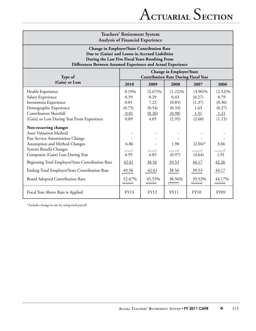| <b>Teachers' Retirement System</b><br><b>Analysis of Financial Experience</b>                                                                                                                                             |                                                                                |                                                        |                                                            |                                                          |                                                          |
|---------------------------------------------------------------------------------------------------------------------------------------------------------------------------------------------------------------------------|--------------------------------------------------------------------------------|--------------------------------------------------------|------------------------------------------------------------|----------------------------------------------------------|----------------------------------------------------------|
| <b>Change in Employer/State Contribution Rate</b><br>Due to (Gains) and Losses in Accrued Liabilities<br>During the Last Five Fiscal Years Resulting From<br>Differences Between Assumed Experience and Actual Experience |                                                                                |                                                        |                                                            |                                                          |                                                          |
| Type of                                                                                                                                                                                                                   | <b>Change in Employer/State</b><br><b>Contribution Rate During Fiscal Year</b> |                                                        |                                                            |                                                          |                                                          |
| (Gain) or Loss                                                                                                                                                                                                            | 2010                                                                           | 2009                                                   | 2008                                                       | 2007                                                     | 2006                                                     |
| Health Experience<br>Salary Experience<br>Investment Experience<br>Demographic Experience<br><b>Contribution Shortfall</b><br>(Gain) or Loss During Year From Experience                                                  | 0.19%<br>0.59<br>0.05<br>(0.75)<br>0.01<br>0.09                                | $(2.67)\%$<br>0.29<br>7.23<br>(0.54)<br>(0.26)<br>4.05 | $(1.22)\%$<br>0.43<br>(0.85)<br>(0.33)<br>(0.98)<br>(2.95) | $(3.90)\%$<br>(0.27)<br>(1.37)<br>1.63<br>1.31<br>(2.60) | $(2.52)\%$<br>0.79<br>(0.36)<br>(0.27)<br>1.21<br>(1.15) |
| Non-recurring changes<br><b>Asset Valuation Method</b><br>Past Service Amortization Change<br>Assumption and Method Changes<br>System Benefit Changes<br>Composite (Gain) Loss During Year                                | 6.86<br>6.95                                                                   | 4.05                                                   | 1.98<br>(0.97)                                             | $(2.04)^*$<br>(4.64)                                     | 3.06<br>1.91                                             |
| Beginning Total Employer/State Contribution Rate                                                                                                                                                                          | 42.61                                                                          | 38.56                                                  | 39.53                                                      | 44.17                                                    | 42.26                                                    |
| Ending Total Employer/State Contribution Rate<br>Board Adopted Contribution Rate                                                                                                                                          | 49.56<br>52.67%                                                                | 42.61<br>45.55%                                        | 38.56<br>38.56%                                            | 39.53<br>39.53%                                          | 44.17<br>44.17%                                          |
| Fiscal Year Above Rate is Applied                                                                                                                                                                                         | FY13                                                                           | <b>FY12</b>                                            | FY11                                                       | <b>FY10</b>                                              | FY09                                                     |

 $^\ast$  Includes change in rate by using total payroll.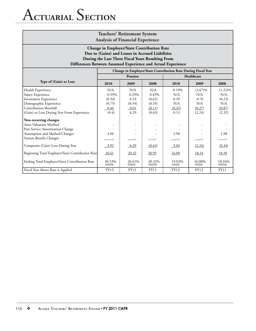## A**CTUARIAL** S**ECTION**

| <b>Teachers' Retirement System</b><br><b>Analysis of Financial Experience</b>                                                                                                                                              |             |             |             |                                                               |             |            |
|----------------------------------------------------------------------------------------------------------------------------------------------------------------------------------------------------------------------------|-------------|-------------|-------------|---------------------------------------------------------------|-------------|------------|
| <b>Change in Employer/State Contribution Rate</b><br>Due to (Gains) and Losses in Accrued Liabilities<br>During the Last Three Fiscal Years Resulting From<br>Differences Between Assumed Experience and Actual Experience |             |             |             |                                                               |             |            |
|                                                                                                                                                                                                                            |             |             |             | Change in Employer/State Contribution Rate During Fiscal Year |             |            |
|                                                                                                                                                                                                                            |             | Pension     |             |                                                               | Healthcare  |            |
| Type of (Gain) or Loss                                                                                                                                                                                                     | 2010        | 2009        | 2008        | 2010                                                          | 2009        | 2008       |
| Health Experience                                                                                                                                                                                                          | N/A         | N/A         | N/A         | 0.19%                                                         | $(2.67)\%$  | $(1.22)\%$ |
| Salary Experience                                                                                                                                                                                                          | 0.59%       | 0.29%       | 0.43%       | N/A                                                           | N/A         | N/A        |
| Investment Experience                                                                                                                                                                                                      | (0.34)      | 6.53        | (0.62)      | 0.39                                                          | 0.70        | (0.23)     |
| Demographic Experience                                                                                                                                                                                                     | (0.75)      | (0.54)      | (0.33)      | N/A                                                           | N/A         | N/A        |
| Contribution Shortfall                                                                                                                                                                                                     | 0.46        | 0.01        | (0.11)      | (0.45)                                                        | (0.27)      | (0.87)     |
| (Gain) or Loss During Year From Experience                                                                                                                                                                                 | (0.4)       | 6.29        | (0.63)      | 0.13                                                          | (2.24)      | (2.32)     |
| Non-recurring changes                                                                                                                                                                                                      |             |             |             |                                                               |             |            |
| <b>Asset Valuation Method</b>                                                                                                                                                                                              |             |             |             |                                                               |             |            |
| Past Service Amortization Change                                                                                                                                                                                           |             |             |             |                                                               |             |            |
| Assumption and Method Changes                                                                                                                                                                                              | 3.96        |             |             | 2.90                                                          |             | 1.98       |
| System Benefit Changes                                                                                                                                                                                                     |             |             |             |                                                               |             |            |
| Composite (Gain) Loss During Year                                                                                                                                                                                          | $-3.92$     | 6.29        | (0.63)      | $-3.03$                                                       | (2.24)      | (0.34)     |
| Beginning Total Employer/State Contribution Rate                                                                                                                                                                           | 26.61       | 20.32       | 20.95       | 16.00                                                         | 18.24       | 18.58      |
| Ending Total Employer/State Contribution Rate                                                                                                                                                                              | 30.53%      | 26.61%      | 20.32%      | 19.03%                                                        | 16.00%      | 18.24%     |
| Fiscal Year Above Rate is Applied                                                                                                                                                                                          | <b>FY13</b> | <b>FY12</b> | <b>FY11</b> | FY13                                                          | <b>FY12</b> | FY11       |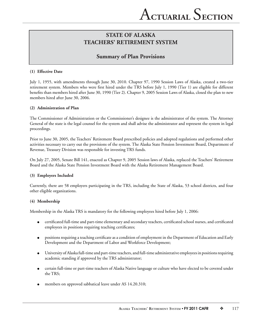## **Summary of Plan Provisions**

#### **(1) Effective Date**

July 1, 1955, with amendments through June 30, 2010. Chapter 97, 1990 Session Laws of Alaska, created a two-tier retirement system. Members who were first hired under the TRS before July 1, 1990 (Tier 1) are eligible for different benefits than members hired after June 30, 1990 (Tier 2). Chapter 9, 2005 Session Laws of Alaska, closed the plan to new members hired after June 30, 2006.

#### **(2) Administration of Plan**

The Commissioner of Administration or the Commissioner's designee is the administrator of the system. The Attorney General of the state is the legal counsel for the system and shall advise the administrator and represent the system in legal proceedings.

Prior to June 30, 2005, the Teachers' Retirement Board prescribed policies and adopted regulations and performed other activities necessary to carry out the provisions of the system. The Alaska State Pension Investment Board, Department of Revenue, Treasury Division was responsible for investing TRS funds.

On July 27, 2005, Senate Bill 141, enacted as Chapter 9, 2005 Session laws of Alaska, replaced the Teachers' Retirement Board and the Alaska State Pension Investment Board with the Alaska Retirement Management Board.

#### **(3) Employers Included**

Currently, there are 58 employers participating in the TRS, including the State of Alaska, 53 school districts, and four other eligible organizations.

#### **(4) Membership**

Membership in the Alaska TRS is mandatory for the following employees hired before July 1, 2006:

- certificated full-time and part-time elementary and secondary teachers, certificated school nurses, and certificated employees in positions requiring teaching certificates;
- positions requiring a teaching certificate as a condition of employment in the Department of Education and Early Development and the Department of Labor and Workforce Development;
- University of Alaska full-time and part-time teachers, and full-time administrative employees in positions requiring academic standing if approved by the TRS administrator;
- certain full-time or part-time teachers of Alaska Native language or culture who have elected to be covered under the TRS;
- members on approved sabbatical leave under AS 14.20.310;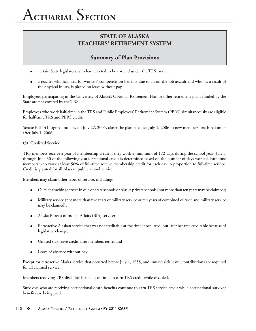# A**CTUARIAL** S**ECTION**

## **STATE OF ALASKA TEACHERS' RETIREMENT SYSTEM**

## **Summary of Plan Provisions**

- certain State legislators who have elected to be covered under the TRS; and
- a teacher who has filed for workers' compensation benefits due to an on-the-job assault and who, as a result of the physical injury, is placed on leave without pay.

Employees participating in the University of Alaska's Optional Retirement Plan or other retirement plans funded by the State are not covered by the TRS.

Employees who work half-time in the TRS and Public Employees' Retirement System (PERS) simultaneously are eligible for half-time TRS and PERS credit.

Senate Bill 141, signed into law on July 27, 2005, closes the plan effective July 1, 2006 to new members first hired on or after July 1, 2006.

### **(5) Credited Service**

TRS members receive a year of membership credit if they work a minimum of 172 days during the school year (July 1 through June 30 of the following year). Fractional credit is determined based on the number of days worked. Part-time members who work at least 50% of full-time receive membership credit for each day in proportion to full-time service. Credit is granted for all Alaskan public school service.

Members may claim other types of service, including:

- Outside teaching service in out-of-state schools or Alaska private schools (not more than ten years may be claimed);
- Military service (not more than five years of military service or ten years of combined outside and military service may be claimed);
- Alaska Bureau of Indian Affairs (BIA) service;
- Retroactive Alaskan service that was not creditable at the time it occurred, but later became creditable because of legislative change;
- Unused sick leave credit after members retire; and
- Leave of absence without pay.

Except for retroactive Alaska service that occurred before July 1, 1955, and unused sick leave, contributions are required for all claimed service.

Members receiving TRS disability benefits continue to earn TRS credit while disabled.

Survivors who are receiving occupational death benefits continue to earn TRS service credit while occupational survivor benefits are being paid.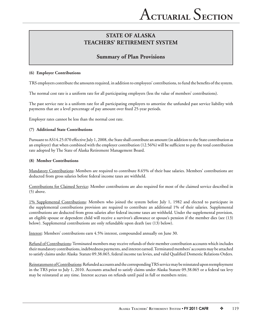## **Summary of Plan Provisions**

#### **(6) Employer Contributions**

TRS employers contribute the amounts required, in addition to employees' contributions, to fund the benefits of the system.

The normal cost rate is a uniform rate for all participating employers (less the value of members' contributions).

The past service rate is a uniform rate for all participating employers to amortize the unfunded past service liability with payments that are a level percentage of pay amount over fixed 25-year periods.

Employer rates cannot be less than the normal cost rate.

#### **(7) Additional State Contributions**

Pursuant to AS14.25.070 effective July 1, 2008, the State shall contribute an amount (in addition to the State contribution as an employer) that when combined with the employer contribution (12.56%) will be sufficient to pay the total contribution rate adopted by The State of Alaska Retirement Management Board.

#### **(8) Member Contributions**

Mandatory Contributions: Members are required to contribute 8.65% of their base salaries. Members' contributions are deducted from gross salaries before federal income taxes are withheld.

Contributions for Claimed Service: Member contributions are also required for most of the claimed service described in (5) above.

1% Supplemental Contributions: Members who joined the system before July 1, 1982 and elected to participate in the supplemental contributions provision are required to contribute an additional 1% of their salaries. Supplemental contributions are deducted from gross salaries after federal income taxes are withheld. Under the supplemental provision, an eligible spouse or dependent child will receive a survivor's allowance or spouse's pension if the member dies (see (13) below). Supplemental contributions are only refundable upon death (see (13) below).

Interest: Members' contributions earn 4.5% interest, compounded annually on June 30.

Refund of Contributions: Terminated members may receive refunds of their member contribution accounts which includes their mandatory contributions, indebtedness payments, and interest earned. Terminated members' accounts may be attached to satisfy claims under Alaska Statute 09.38.065, federal income tax levies, and valid Qualified Domestic Relations Orders.

Reinstatement of Contributions: Refunded accounts and the corresponding TRS service may be reinstated upon reemployment in the TRS prior to July 1, 2010. Accounts attached to satisfy claims under Alaska Statute 09.38.065 or a federal tax levy may be reinstated at any time. Interest accrues on refunds until paid in full or members retire.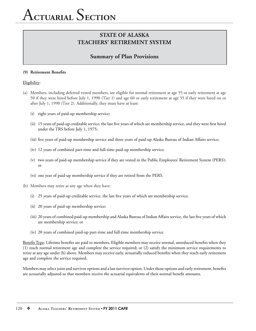## **Summary of Plan Provisions**

#### **(9) Retirement Benefits**

Eligibility:

- (a) Members, including deferred vested members, are eligible for normal retirement at age 55 or early retirement at age 50 if they were hired before July 1, 1990 (Tier 1) and age 60 or early retirement at age 55 if they were hired on or after July 1, 1990 (Tier 2). Additionally, they must have at least:
	- (i) eight years of paid-up membership service;
	- (ii) 15 years of paid-up creditable service, the last five years of which are membership service, and they were first hired under the TRS before July 1, 1975;
	- (iii) five years of paid-up membership service and three years of paid-up Alaska Bureau of Indian Affairs service;
	- (iv) 12 years of combined part-time and full-time paid-up membership service;
	- (v) two years of paid-up membership service if they are vested in the Public Employees' Retirement System (PERS); or
	- (vi) one year of paid-up membership service if they are retired from the PERS.
- (b) Members may retire at any age when they have:
	- (i) 25 years of paid-up creditable service, the last five years of which are membership service;
	- (ii) 20 years of paid-up membership service;
	- (iii) 20 years of combined paid-up membership and Alaska Bureau of Indian Affairs service, the last five years of which are membership service; or
	- (iv) 20 years of combined paid-up part-time and full-time membership service.

Benefit Type: Lifetime benefits are paid to members. Eligible members may receive normal, unreduced benefits when they (1) reach normal retirement age and complete the service required; or (2) satisfy the minimum service requirements to retire at any age under (b) above. Members may receive early, actuarially reduced benefits when they reach early retirement age and complete the service required.

Members may select joint and survivor options and a last survivor option. Under those options and early retirement, benefits are actuarially adjusted so that members receive the actuarial equivalents of their normal benefit amounts.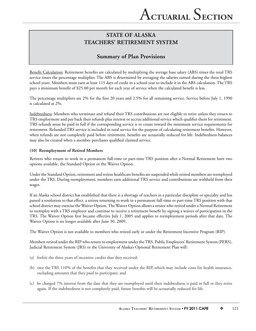## **Summary of Plan Provisions**

Benefit Calculation: Retirement benefits are calculated by multiplying the average base salary (ABS) times the total TRS service times the percentage multiplier. The ABS is determined by averaging the salaries earned during the three highest school years. Members must earn at least 115 days of credit in a school year to include it in the ABS calculation. The TRS pays a minimum benefit of \$25.00 per month for each year of service when the calculated benefit is less.

The percentage multipliers are 2% for the first 20 years and 2.5% for all remaining service. Service before July 1, 1990 is calculated at 2%.

Indebtedness: Members who terminate and refund their TRS contributions are not eligible to retire unless they return to TRS employment and pay back their refunds plus interest or accrue additional service which qualifies them for retirement. TRS refunds must be paid in full if the corresponding service is to count toward the minimum service requirements for retirement. Refunded TRS service is included in total service for the purpose of calculating retirement benefits. However, when refunds are not completely paid before retirement, benefits are actuarially reduced for life. Indebtedness balances may also be created when a member purchases qualified claimed service.

### **(10) Reemployment of Retired Members**

Retirees who return to work in a permanent full-time or part-time TRS position after a Normal Retirement have two options available, the Standard Option or the Waiver Option.

Under the Standard Option, retirement and retiree healthcare benefits are suspended while retired members are reemployed under the TRS. During reemployment, members earn additional TRS service and contributions are withheld from their wages.

If an Alaska school district has established that there is a shortage of teachers in a particular discipline or specialty and has passed a resolution to that effect, a retiree returning to work in a permanent full-time or part-time TRS position with that school district may exercise the Waiver Option. The Waiver Option allows a retiree who retired under a Normal Retirement to reemploy with a TRS employer and continue to receive a retirement benefi t by signing a waiver of participation in the TRS. The Waiver Option first became effective July 1, 2005 and applies to reemployment periods after that date. The Waiver Option is no longer available after June 30, 2009.

The Waiver Option is not available to members who retired early or under the Retirement Incentive Program (RIP).

Members retired under the RIP who return to employment under the TRS, Public Employees' Retirement System (PERS), Judicial Retirement System (JRS) or the University of Alaska's Optional Retirement Plan will:

- (a) forfeit the three years of incentive credits that they received;
- (b) owe the TRS 110% of the benefits that they received under the RIP, which may include costs for health insurance, excluding amounts that they paid to participate; and
- (c) be charged 7% interest from the date that they are reemployed until their indebtedness is paid in full or they retire again. If the indebtedness is not completely paid, future benefits will be actuarially reduced for life.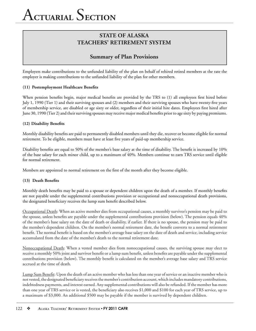## **Summary of Plan Provisions**

Employers make contributions to the unfunded liability of the plan on behalf of rehired retired members at the rate the employer is making contributions to the unfunded liability of the plan for other members.

### (11) Postemployment Healthcare Benefits

When pension benefits begin, major medical benefits are provided by the TRS to (1) all employees first hired before July 1, 1990 (Tier 1) and their surviving spouses and (2) members and their surviving spouses who have twenty-five years of membership service, are disabled or age sixty or older, regardless of their initial hire dates. Employees first hired after June 30, 1990 (Tier 2) and their surviving spouses may receive major medical benefits prior to age sixty by paying premiums.

#### **(12) Disability Benefits**

Monthly disability benefits are paid to permanently disabled members until they die, recover or become eligible for normal retirement. To be eligible, members must have at least five years of paid-up membership service.

Disability benefits are equal to 50% of the member's base salary at the time of disability. The benefit is increased by 10% of the base salary for each minor child, up to a maximum of 40%. Members continue to earn TRS service until eligible for normal retirement.

Members are appointed to normal retirement on the first of the month after they become eligible.

### (13) Death Benefits

Monthly death benefits may be paid to a spouse or dependent children upon the death of a member. If monthly benefits are not payable under the supplemental contributions provision or occupational and nonoccupational death provisions, the designated beneficiary receives the lump sum benefit described below.

Occupational Death: When an active member dies from occupational causes, a monthly survivor's pension may be paid to the spouse, unless benefits are payable under the supplemental contributions provision (below). The pension equals 40% of the member's base salary on the date of death or disability, if earlier. If there is no spouse, the pension may be paid to the member's dependent children. On the member's normal retirement date, the benefit converts to a normal retirement benefit. The normal benefit is based on the member's average base salary on the date of death and service, including service accumulated from the date of the member's death to the normal retirement date.

Nonoccupational Death: When a vested member dies from nonoccupational causes, the surviving spouse may elect to receive a monthly 50% joint and survivor benefit or a lump sum benefit, unless benefits are payable under the supplemental contributions provision (below). The monthly benefit is calculated on the member's average base salary and TRS service accrued at the time of death.

Lump Sum Benefit: Upon the death of an active member who has less than one year of service or an inactive member who is not vested, the designated beneficiary receives the member's contribution account, which includes mandatory contributions, indebtedness payments, and interest earned. Any supplemental contributions will also be refunded. If the member has more than one year of TRS service or is vested, the beneficiary also receives \$1,000 and \$100 for each year of TRS service, up to a maximum of \$3,000. An additional \$500 may be payable if the member is survived by dependent children.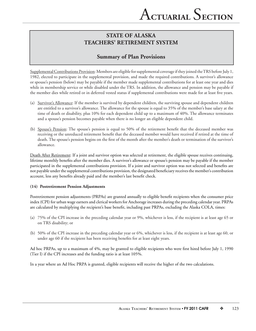## **Summary of Plan Provisions**

Supplemental Contributions Provision: Members are eligible for supplemental coverage if they joined the TRS before July 1, 1982, elected to participate in the supplemental provision, and made the required contributions. A survivor's allowance or spouse's pension (below) may be payable if the member made supplemental contributions for at least one year and dies while in membership service or while disabled under the TRS. In addition, the allowance and pension may be payable if the member dies while retired or in deferred vested status if supplemental contributions were made for at least five years.

- (a) Survivor's Allowance: If the member is survived by dependent children, the surviving spouse and dependent children are entitled to a survivor's allowance. The allowance for the spouse is equal to 35% of the member's base salary at the time of death or disability, plus 10% for each dependent child up to a maximum of 40%. The allowance terminates and a spouse's pension becomes payable when there is no longer an eligible dependent child.
- (b) Spouse's Pension: The spouse's pension is equal to 50% of the retirement benefit that the deceased member was receiving or the unreduced retirement benefit that the deceased member would have received if retired at the time of death. The spouse's pension begins on the first of the month after the member's death or termination of the survivor's allowance.

Death After Retirement: If a joint and survivor option was selected at retirement, the eligible spouse receives continuing, lifetime monthly benefits after the member dies. A survivor's allowance or spouse's pension may be payable if the member participated in the supplemental contributions provision. If a joint and survivor option was not selected and benefits are not payable under the supplemental contributions provision, the designated beneficiary receives the member's contribution account, less any benefits already paid and the member's last benefit check.

## **(14) Postretirement Pension Adjustments**

Postretirement pension adjustments (PRPAs) are granted annually to eligible benefit recipients when the consumer price index (CPI) for urban wage earners and clerical workers for Anchorage increases during the preceding calendar year. PRPAs are calculated by multiplying the recipient's base benefit, including past PRPAs, excluding the Alaska COLA, times:

- (a) 75% of the CPI increase in the preceding calendar year or 9%, whichever is less, if the recipient is at least age 65 or on TRS disability; or
- (b) 50% of the CPI increase in the preceding calendar year or 6%, whichever is less, if the recipient is at least age 60, or under age 60 if the recipient has been receiving benefits for at least eight years.

Ad hoc PRPAs, up to a maximum of 4%, may be granted to eligible recipients who were first hired before July 1, 1990 (Tier I) if the CPI increases and the funding ratio is at least 105%.

In a year where an Ad Hoc PRPA is granted, eligible recipients will receive the higher of the two calculations.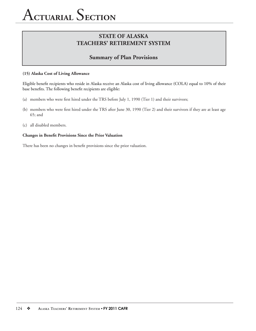## A**CTUARIAL** S**ECTION**

## **STATE OF ALASKA TEACHERS' RETIREMENT SYSTEM**

## **Summary of Plan Provisions**

#### **(15) Alaska Cost of Living Allowance**

Eligible benefit recipients who reside in Alaska receive an Alaska cost of living allowance (COLA) equal to 10% of their base benefits. The following benefit recipients are eligible:

- (a) members who were first hired under the TRS before July 1, 1990 (Tier 1) and their survivors;
- (b) members who were first hired under the TRS after June 30, 1990 (Tier 2) and their survivors if they are at least age 65; and
- (c) all disabled members.

#### **Changes in Benefit Provisions Since the Prior Valuation**

There has been no changes in benefit provisions since the prior valuation.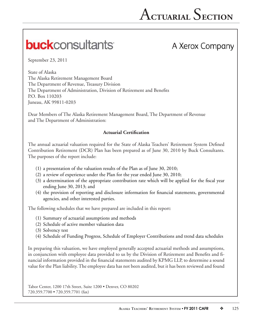## **buck**consultants

## A Xerox Company

September 23, 2011

State of Alaska The Alaska Retirement Management Board The Department of Revenue, Treasury Division The Department of Administration, Division of Retirement and Benefits P.O. Box 110203 Juneau, AK 99811-0203

Dear Members of The Alaska Retirement Management Board, The Department of Revenue and The Department of Administration:

## **Actuarial Certification**

The annual actuarial valuation required for the State of Alaska Teachers' Retirement System Defined Contribution Retirement (DCR) Plan has been prepared as of June 30, 2010 by Buck Consultants. The purposes of the report include:

- (1) a presentation of the valuation results of the Plan as of June 30, 2010;
- (2) a review of experience under the Plan for the year ended June 30, 2010;
- $(3)$  a determination of the appropriate contribution rate which will be applied for the fiscal year ending June 30, 2013; and
- (4) the provision of reporting and disclosure information for financial statements, governmental agencies, and other interested parties.

The following schedules that we have prepared are included in this report:

- (1) Summary of actuarial assumptions and methods
- (2) Schedule of active member valuation data
- (3) Solvency test
- (4) Schedule of Funding Progress, Schedule of Employer Contributions and trend data schedules

In preparing this valuation, we have employed generally accepted actuarial methods and assumptions, in conjunction with employee data provided to us by the Division of Retirement and Benefits and financial information provided in the financial statements audited by KPMG LLP, to determine a sound value for the Plan liability. The employee data has not been audited, but it has been reviewed and found

Tabor Center, 1200 17th Street, Suite 1200 • Denver, CO 80202 720.359.7700 • 720.359.7701 (fax)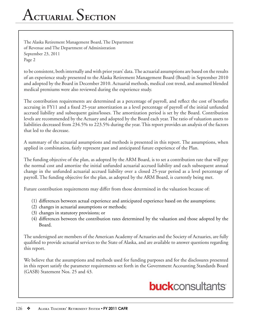## A**CTUARIAL** S**ECTION**

The Alaska Retirement Management Board, The Department of Revenue and The Department of Administration September 23, 2011 Page 2

to be consistent, both internally and with prior years' data. The actuarial assumptions are based on the results of an experience study presented to the Alaska Retirement Management Board (Board) in September 2010 and adopted by the Board in December 2010. Actuarial methods, medical cost trend, and assumed blended medical premiums were also reviewed during the experience study.

The contribution requirements are determined as a percentage of payroll, and reflect the cost of benefits accruing in FY11 and a fixed 25-year amortization as a level percentage of payroll of the initial unfunded accrued liability and subsequent gains/losses. The amortization period is set by the Board. Contribution levels are recommended by the Actuary and adopted by the Board each year. The ratio of valuation assets to liabilities decreased from 234.5% to 223.5% during the year. This report provides an analysis of the factors that led to the decrease.

A summary of the actuarial assumptions and methods is presented in this report. The assumptions, when applied in combination, fairly represent past and anticipated future experience of the Plan.

The funding objective of the plan, as adopted by the ARM Board, is to set a contribution rate that will pay the normal cost and amortize the initial unfunded actuarial accrued liability and each subsequent annual change in the unfunded actuarial accrued liability over a closed 25-year period as a level percentage of payroll. The funding objective for the plan, as adopted by the ARM Board, is currently being met.

Future contribution requirements may differ from those determined in the valuation because of:

- (1) differences between actual experience and anticipated experience based on the assumptions;
- (2) changes in actuarial assumptions or methods;
- (3) changes in statutory provisions; or
- (4) differences between the contribution rates determined by the valuation and those adopted by the Board.

The undersigned are members of the American Academy of Actuaries and the Society of Actuaries, are fully qualified to provide actuarial services to the State of Alaska, and are available to answer questions regarding this report.

We believe that the assumptions and methods used for funding purposes and for the disclosures presented in this report satisfy the parameter requirements set forth in the Government Accounting Standards Board (GASB) Statement Nos. 25 and 43.

## **buck**consultants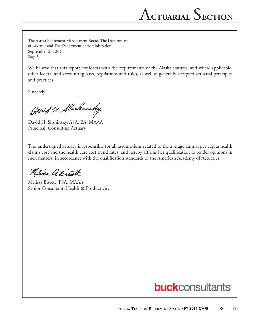The Alaska Retirement Management Board, The Department of Revenue and The Department of Administration September 23, 2011 Page 3

We believe that this report conforms with the requirements of the Alaska statutes, and where applicable, other federal and accounting laws, regulations and rules, as well as generally accepted actuarial principles and practices.

Sincerely,

David H. Alschinsky

David H. Slishinsky, ASA, EA, MAAA Principal, Consulting Actuary

The undersigned actuary is responsible for all assumptions related to the average annual per capita health claims cost and the health care cost trend rates, and hereby affirms her qualification to render opinions in such matters, in accordance with the qualification standards of the American Academy of Actuaries.

Nelisse A. Bist

Melissa Bissett, FSA, MAAA Senior Consultant, Health & Productivity

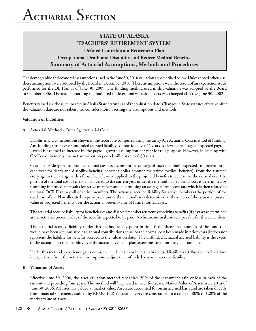The demographic and economic assumptions used in the June 30, 2010 valuation are described below. Unless noted otherwise, these assumptions were adopted by the Board in December 2010. These assumptions were the result of an experience study performed for the DB Plan as of June 30, 2009. The funding method used in this valuation was adopted by the Board in October 2006. The asset smoothing method used to determine valuation assets was changed effective June 30, 2002.

Benefits valued are those delineated in Alaska State statutes as of the valuation date. Changes in State statutes effective after the valuation date are not taken into consideration in setting the assumptions and methods.

#### **Valuation of Liabilities**

#### **A. Actuarial Method** - Entry Age Actuarial Cost

Liabilities and contributions shown in the report are computed using the Entry Age Actuarial Cost method of funding. Any funding surpluses or unfunded accrued liability is amortized over 25 years as a level percentage of expected payroll. Payroll is assumed to increase by the payroll growth assumption per year for this purpose. However, in keeping with GASB requirements, the net amortization period will not exceed 30 years.

Cost factors designed to produce annual costs as a constant percentage of each member's expected compensation in each year for death and disability benefits (constant dollar amount for retiree medical benefits), from the assumed entry age to the last age with a future benefit were applied to the projected benefits to determine the normal cost (the portion of the total cost of the Plan allocated to the current year under the method). The normal cost is determined by summing intermediate results for active members and determining an average normal cost rate which is then related to the total DCR Plan payroll of active members. The actuarial accrued liability for active members (the portion of the total cost of the Plan allocated to prior years under the method) was determined as the excess of the actuarial present value of projected benefits over the actuarial present value of future normal costs.

The actuarial accrued liability for beneficiaries and disabled members currently receiving benefits (if any) was determined as the actuarial present value of the benefits expected to be paid. No future normal costs are payable for these members.

The actuarial accrued liability under this method at any point in time is the theoretical amount of the fund that would have been accumulated had annual contributions equal to the normal cost been made in prior years (it does not represent the liability for benefits accrued to the valuation date). The unfunded actuarial accrued liability is the excess of the actuarial accrued liability over the actuarial value of plan assets measured on the valuation date.

Under this method, experience gains or losses, i.e., decreases or increases in accrued liabilities attributable to deviations in experience from the actuarial assumptions, adjust the unfunded actuarial accrued liability.

#### **B. Valuation of Assets**

Effective June 30, 2006, the asset valuation method recognizes 20% of the investment gain or loss in each of the current and preceding four years. This method will be phased in over five years. Market Value of Assets were \$0 as of June 30, 2006. All assets are valued at market value. Assets are accounted for on an accrued basis and are taken directly from financial statements audited by KPMG LLP. Valuation assets are constrained to a range of 80% to 120% of the market value of assets.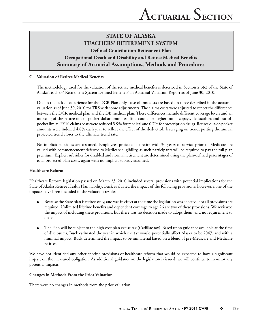### **C.** Valuation of Retiree Medical Benefits

The methodology used for the valuation of the retiree medical benefits is described in Section 2.3(c) of the State of Alaska Teachers' Retirement System Defined Benefit Plan Actuarial Valuation Report as of June 30, 2010.

Due to the lack of experience for the DCR Plan only, base claims costs are based on those described in the actuarial valuation as of June 30, 2010 for TRS with some adjustments. The claims costs were adjusted to reflect the differences between the DCR medical plan and the DB medical plan. These differences include different coverage levels and an indexing of the retiree out-of-pocket dollar amounts. To account for higher initial copays, deductibles and out-ofpocket limits, FY10 claims costs were reduced 5.9% for medical and 0.7% for prescription drugs. Retiree out-of-pocket amounts were indexed 4.8% each year to reflect the effect of the deductible leveraging on trend, putting the annual projected trend closer to the ultimate trend rate.

No implicit subsidies are assumed. Employees projected to retire with 30 years of service prior to Medicare are valued with commencement deferred to Medicare eligibility, as such participants will be required to pay the full plan premium. Explicit subsidies for disabled and normal retirement are determined using the plan-defined percentages of total projected plan costs, again with no implicit subsidy assumed.

### **Healthcare Reform**

Healthcare Reform legislation passed on March 23, 2010 included several provisions with potential implications for the State of Alaska Retiree Health Plan liability. Buck evaluated the impact of the following provisions; however, none of the impacts have been included in the valuation results.

- Because the State plan is retiree-only, and was in effect at the time the legislation was enacted, not all provisions are required. Unlimited lifetime benefits and dependent coverage to age 26 are two of these provisions. We reviewed the impact of including these provisions, but there was no decision made to adopt them, and no requirement to do so.
- The Plan will be subject to the high cost plan excise tax (Cadillac tax). Based upon guidance available at the time of disclosures, Buck estimated the year in which the tax would potentially affect Alaska to be 2047, and with a minimal impact. Buck determined the impact to be immaterial based on a blend of pre-Medicare and Medicare retirees.

We have not identified any other specific provisions of healthcare reform that would be expected to have a significant impact on the measured obligation. As additional guidance on the legislation is issued, we will continue to monitor any potential impacts.

### **Changes in Methods From the Prior Valuation**

There were no changes in methods from the prior valuation.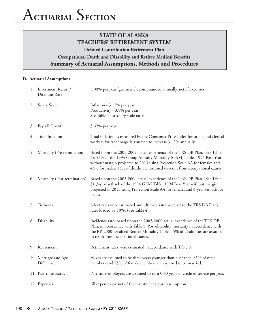#### **D. Actuarial Assumptions**

|    | 1. Investment Return/<br>Discount Rate | 8.00% per year (geometric), compounded annually, net of expenses.                                                                                                                                                                                                                                                  |
|----|----------------------------------------|--------------------------------------------------------------------------------------------------------------------------------------------------------------------------------------------------------------------------------------------------------------------------------------------------------------------|
| 2. | Salary Scale                           | Inflation - 3.12% per year<br>Productivity - 0.5% per year<br>See Table 1 for salary scale rates.                                                                                                                                                                                                                  |
| 3. | Payroll Growth                         | 3.62% per year                                                                                                                                                                                                                                                                                                     |
| 4. | Total Inflation                        | Total inflation as measured by the Consumer Price Index for urban and clerical<br>workers for Anchorage is assumed to increase 3.12% annually.                                                                                                                                                                     |
| 5. | Mortality (Pre-termination)            | Based upon the 2005-2009 actual experience of the TRS DB Plan. (See Table<br>2). 55% of the 1994 Group Annuity Mortality (GAM) Table, 1994 Base Year<br>without margin projected to 2013 using Projection Scale AA for females and<br>45% for males. 15% of deaths are assumed to result from occupational causes. |
| 6. | Mortality (Post-termination)           | Based upon the 2005-2009 actual experience of the TRS DB Plan. (See Table<br>3). 3-year setback of the 1994 GAM Table, 1994 Base Year without margin<br>projected to 2013 using Projection Scale AA for females and 4-year setback for<br>males.                                                                   |
| 7. | Turnover                               | Select rates were estimated and ultimate rates were set to the TRS DB Plan's<br>rates loaded by 10%. (See Table 4).                                                                                                                                                                                                |
| 8. | Disability                             | Incidence rates based upon the 2005-2009 actual experience of the TRS DB<br>Plan, in accordance with Table 5. Post-disability mortality in accordance with<br>the RP-2000 Disabled Retiree Mortality Table. 15% of disabilities are assumed<br>to result from occupational causes.                                 |
| 9. | Retirement                             | Retirement rates were estimated in accordance with Table 6.                                                                                                                                                                                                                                                        |
|    | 10. Marriage and Age<br>Difference     | Wives are assumed to be three years younger than husbands. 85% of male<br>members and 75% of female members are assumed to be married.                                                                                                                                                                             |
|    | 11. Part-time Status                   | Part-time employees are assumed to earn 0.60 years of credited service per year.                                                                                                                                                                                                                                   |
|    | 12. Expenses                           | All expenses are net of the investment return assumption.                                                                                                                                                                                                                                                          |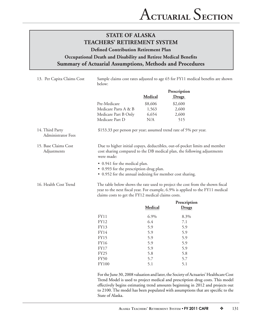| 13. Per Capita Claims Cost            | Sample claims cost rates adjusted to age 65 for FY11 medical benefits are shown<br>below:                                                                                                                                                                |         |                                                                  |  |
|---------------------------------------|----------------------------------------------------------------------------------------------------------------------------------------------------------------------------------------------------------------------------------------------------------|---------|------------------------------------------------------------------|--|
|                                       |                                                                                                                                                                                                                                                          |         | Prescription                                                     |  |
|                                       |                                                                                                                                                                                                                                                          | Medical | Drugs                                                            |  |
|                                       | Pre-Medicare                                                                                                                                                                                                                                             | \$8,606 | \$2,600                                                          |  |
|                                       | Medicare Parts A & B                                                                                                                                                                                                                                     | 1,563   | 2,600                                                            |  |
|                                       | Medicare Part B Only                                                                                                                                                                                                                                     | 6,654   | 2,600                                                            |  |
|                                       | Medicare Part D                                                                                                                                                                                                                                          | N/A     | 515                                                              |  |
| 14. Third Party<br>Administrator Fees |                                                                                                                                                                                                                                                          |         | \$153.33 per person per year; assumed trend rate of 5% per year. |  |
| 15. Base Claims Cost<br>Adjustments   | Due to higher initial copays, deductibles, out-of-pocket limits and member<br>cost sharing compared to the DB medical plan, the following adjustments<br>were made:                                                                                      |         |                                                                  |  |
|                                       | • 0.941 for the medical plan.<br>• 0.993 for the prescription drug plan.<br>• 0.952 for the annual indexing for member cost sharing.                                                                                                                     |         |                                                                  |  |
| 16. Health Cost Trend                 | The table below shows the rate used to project the cost from the shown fiscal<br>year to the next fiscal year. For example, 6.9% is applied to the FY11 medical<br>claims costs to get the FY12 medical claims costs.                                    |         |                                                                  |  |
|                                       |                                                                                                                                                                                                                                                          |         | Prescription                                                     |  |
|                                       |                                                                                                                                                                                                                                                          | Medical | Drugs                                                            |  |
|                                       | FY11                                                                                                                                                                                                                                                     | 6.9%    | 8.3%                                                             |  |
|                                       | <b>FY12</b>                                                                                                                                                                                                                                              | 6.4     | 7.1                                                              |  |
|                                       | FY13                                                                                                                                                                                                                                                     | 5.9     | 5.9                                                              |  |
|                                       | FY14                                                                                                                                                                                                                                                     | 5.9     | 5.9                                                              |  |
|                                       | <b>FY15</b>                                                                                                                                                                                                                                              | 5.9     | 5.9                                                              |  |
|                                       | <b>FY16</b>                                                                                                                                                                                                                                              | 5.9     | 5.9                                                              |  |
|                                       | <b>FY17</b>                                                                                                                                                                                                                                              | 5.9     | 5.9                                                              |  |
|                                       | <b>FY25</b>                                                                                                                                                                                                                                              | 5.8     | 5.8                                                              |  |
|                                       | <b>FY50</b>                                                                                                                                                                                                                                              | 5.7     | 5.7                                                              |  |
|                                       | <b>FY100</b>                                                                                                                                                                                                                                             | 5.1     | 5.1                                                              |  |
|                                       | For the June 30, 2008 valuation and later, the Society of Actuaries' Healthcare Cost<br>Trend Model is used to project medical and prescription drug costs. This model<br>effectively begins estimating trend amounts beginning in 2012 and projects out |         |                                                                  |  |

State of Alaska.

to 2100. The model has been populated with assumptions that are specific to the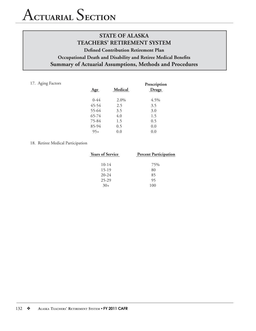## A**CTUARIAL** S**ECTION**

## **STATE OF ALASKA TEACHERS' RETIREMENT SYSTEM Defined Contribution Retirement Plan Occupational Death and Disability and Retiree Medical Benefits Summary of Actuarial Assumptions, Methods and Procedures**

#### 17. Aging Factors

| Age      | Medical | Prescription<br>Drugs |
|----------|---------|-----------------------|
| $0 - 44$ | $2.0\%$ | 4.5%                  |
| 45-54    | 2.5     | 3.5                   |
| 55-64    | 3.5     | 3.0                   |
| 65-74    | 4.0     | 1.5                   |
| 75-84    | 1.5     | 0.5                   |
| 85-94    | 0.5     | 0.0                   |
| $95+$    | 0.0     | 0.0                   |

#### 18. Retiree Medical Participation

| <b>Years of Service</b> | <b>Percent Participation</b> |
|-------------------------|------------------------------|
| $10 - 14$               | 75%                          |
| $15-19$                 | 80                           |
| $20 - 24$               | 85                           |
| 25-29                   | 95                           |
| $30+$                   | 100                          |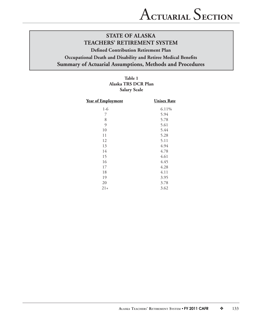## **Table 1 Alaska TRS DCR Plan Salary Scale**

| Year of Employment | <b>Unisex Rate</b> |
|--------------------|--------------------|
| $1-6$              | 6.11%              |
| 7                  | 5.94               |
| 8                  | 5.78               |
| $\mathfrak{g}$     | 5.61               |
| 10                 | 5.44               |
| 11                 | 5.28               |
| 12                 | 5.11               |
| 13                 | 4.94               |
| 14                 | 4.78               |
| 15                 | 4.61               |
| 16                 | 4.45               |
| 17                 | 4.28               |
| 18                 | 4.11               |
| 19                 | 3.95               |
| 20                 | 3.78               |
| $21+$              | 3.62               |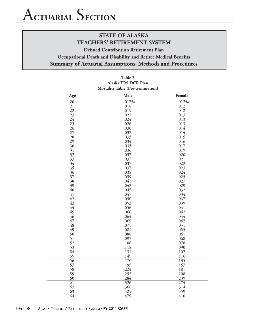#### **Table 2 Alaska TRS DCR Plan Mortality Table (Pre-termination)**

| Age                   | Male         | Female       |
|-----------------------|--------------|--------------|
| 20                    | .017%        | .012%        |
| 21                    | .018         | .012         |
| 22                    | .019         | .012         |
| 23                    | .021         | .013         |
| 24                    | .024         | .013         |
| 25                    | .026         | .013         |
| $\overline{26}$       | .030         | .014         |
| 27                    | .032         | .014         |
| 28                    | .033         | .015         |
| 29                    | .034         | .016         |
| 30                    | .035         | .017         |
| 31                    | .036         | .019         |
| 32                    | .037         | .020         |
| 33                    | .037         | .021         |
| 34                    | .037         | .022         |
| 35                    | .037         | .023         |
| $\overline{36}$       | .038         | .024         |
| 37                    | .039         | .025         |
| 38                    | .041         | .027         |
| 39                    | .042         | .029         |
| 40                    | .045         | .032         |
| 41                    | .047         | .034         |
| 42                    | .050         | .037         |
| 43                    | .053         | .039         |
| 44                    | .056         | .041         |
| 45                    | .060         | .042         |
| 46                    | .064         | .044         |
| 47                    | .069         | .047         |
| 48<br>49              | .075         | .051         |
|                       | .081         | .055         |
| 50<br>$\overline{51}$ | .088<br>.097 | .061<br>.068 |
| 52                    | .106         | .078         |
| 53                    | .118         | .090         |
| 54                    | .131         | .102         |
| 55                    | .149         | .116         |
| $\overline{56}$       | .170         | .135         |
| 57                    | .195         | .157         |
| 58                    | .224         | .181         |
| 59                    | .253         | .208         |
| 60                    | .284         | .239         |
| 61                    | .326         | .274         |
| 62                    | .368         | .314         |
| 63                    | .425         | .359         |
| 64                    | .479         | .410         |
|                       |              |              |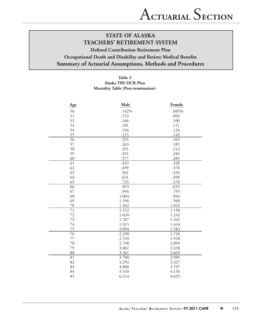#### **Table 3 Alaska TRS DCR Plan Mortality Table (Post-termination)**

| Age             | Male  | Female |
|-----------------|-------|--------|
| 50              | .142% | .085%  |
| 51              | .153  | .092   |
| 52              | .166  | .100   |
| 53              | .181  | .111   |
| 54              | .196  | .124   |
| 55              | .215  | .143   |
| 56              | .235  | .163   |
| 57              | .263  | .185   |
| 58              | .291  | .212   |
| 59              | .331  | .246   |
| 60              | .377  | .285   |
| 61              | .433  | .328   |
| 62              | .499  | .378   |
| 63              | .561  | .434   |
| 64              | .631  | .498   |
| 65              | .725  | .570   |
| 66              | .819  | .653   |
| 67              | .944  | .745   |
| 68              | 1.064 | .844   |
| 69              | 1.196 | .948   |
| 70              | 1.362 | 1.052  |
| 71              | 1.512 | 1.150  |
| 72              | 1.634 | 1.242  |
| 73              | 1.787 | 1.342  |
| 74              | 1.915 | 1.434  |
| 75              | 2.094 | 1.583  |
| $\overline{76}$ | 2.298 | 1.726  |
| 77              | 2.518 | 1.918  |
| 78              | 2.748 | 2.094  |
| 79              | 3.061 | 2.338  |
| 80              | 3.361 | 2.669  |
| 81              | 3.788 | 2.985  |
| 82              | 4.292 | 3.327  |
| 83              | 4.868 | 3.707  |
| 84              | 5.510 | 4.136  |
| 85              | 6.214 | 4.625  |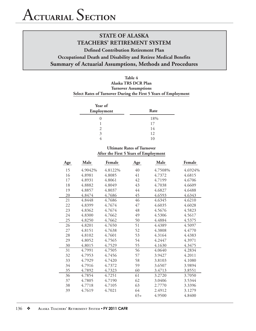## **Defined Contribution Retirement Plan Occupational Death and Disability and Retiree Medical Benefits Summary of Actuarial Assumptions, Methods and Procedures**

## **Table 4 Alaska TRS DCR Plan Turnover Assumptions Select Rates of Turnover During the First 5 Years of Employment**

| Year of<br>Employment | Rate |
|-----------------------|------|
|                       | 18%  |
|                       | 17   |
| $\mathcal{L}$         | 14   |
| 3                     | 12   |
|                       | 10   |

## **Ultimate Rates of Turnover After the First 5 Years of Employment**

| <b>Age</b> | Male    | Female  | <b>Age</b> | Male    | Female  |
|------------|---------|---------|------------|---------|---------|
| 15         | 4.9042% | 4.8122% | 40         | 4.7508% | 4.6924% |
| 16         | 4.8981  | 4.8085  | 41         | 4.7372  | 4.6815  |
| 17         | 4.8931  | 4.8061  | 42         | 4.7199  | 4.6706  |
| 18         | 4.8882  | 4.8049  | 43         | 4.7038  | 4.6609  |
| 19         | 4.8857  | 4.8037  | 44         | 4.6827  | 4.6488  |
| 20         | 4.8474  | 4.7686  | 45         | 4.6593  | 4.6343  |
| 21         | 4.8448  | 4.7686  | 46         | 4.6345  | 4.6210  |
| 22         | 4.8399  | 4.7674  | 47         | 4.6035  | 4.6028  |
| 23         | 4.8362  | 4.7674  | 48         | 4.5676  | 4.5823  |
| 24         | 4.8300  | 4.7662  | 49         | 4.5306  | 4.5617  |
| 25         | 4.8250  | 4.7662  | 50         | 4.4884  | 4.5375  |
| 26         | 4.8201  | 4.7650  | 51         | 4.4389  | 4.5097  |
| 27         | 4.8151  | 4.7638  | 52         | 4.3808  | 4.4770  |
| 28         | 4.8102  | 4.7601  | 53         | 4.3164  | 4.4383  |
| 29         | 4.8052  | 4.7565  | 54         | 4.2447  | 4.3971  |
| 30         | 4.8015  | 4.7529  | 55         | 4.1630  | 4.3475  |
| 31         | 4.7991  | 4.7505  | 56         | 4.0640  | 4.2834  |
| 32         | 4.7953  | 4.7456  | 57         | 3.9427  | 4.2011  |
| 33         | 4.7929  | 4.7420  | 58         | 3.8103  | 4.1080  |
| 34         | 4.7916  | 4.7372  | 59         | 3.6507  | 3.9894  |
| 35         | 4.7892  | 4.7323  | 60         | 3.4713  | 3.8551  |
| 36         | 4.7854  | 4.7251  | 61         | 3.2720  | 3.7050  |
| 37         | 4.7805  | 4.7190  | 62         | 3.0406  | 3.5344  |
| 38         | 4.7718  | 4.7105  | 63         | 2.7770  | 3.3396  |
| 39         | 4.7619  | 4.7021  | 64         | 2.4912  | 3.1279  |
|            |         |         | $65+$      | 4.9500  | 4.8400  |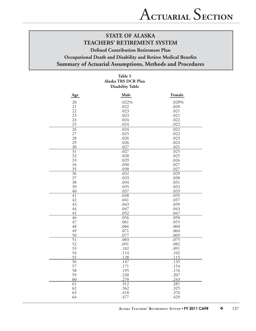## **Defined Contribution Retirement Plan**

## **Occupational Death and Disability and Retiree Medical Benefits Summary of Actuarial Assumptions, Methods and Procedures**

## **Table 5 Alaska TRS DCR Plan Disability Table**

| Age             | Male  | Female |
|-----------------|-------|--------|
| 20              | .022% | .020%  |
| 21              | .022  | .020   |
| 22              | .023  | .021   |
| 23              | .023  | .021   |
| 24              | .024  | .022   |
| 25              | .024  | .022   |
| 26              | .024  | .022   |
| 27              | .025  | .022   |
| 28              | .026  | .023   |
| 29              | .026  | .024   |
| 30              | .027  | .025   |
| $\overline{31}$ | .027  | .025   |
| 32              | .028  | .025   |
| 33              | .029  | .026   |
| 34              | .030  | .027   |
| 35              | .030  | .027   |
| 36              | .032  | .029   |
| 37              | .033  | .030   |
| 38              | .034  | .031   |
| 39              | .035  | .032   |
| 40              | .037  | .033   |
| 41              | .038  | .035   |
| 42              | .041  | .037   |
| 43              | .043  | .039   |
| 44              | .047  | .043   |
| 45              | .052  | .047   |
| 46              | .056  | .050   |
| 47              | .061  | .055   |
| 48              | .066  | .060   |
| 49              | .071  | .064   |
| 50              | .077  | .069   |
| $\overline{51}$ | .083  | .075   |
| 52              | .091  | .082   |
| 53              | .102  | .091   |
| 54              | .114  | .102   |
| 55              | .128  | .115   |
| $\overline{56}$ | .147  | .133   |
| 57              | .171  | .154   |
| 58              | .195  | .176   |
| 59              | .230  | .207   |
| 60              | .270  | .243   |
| 61              | .312  | .281   |
| 62              | .362  | .325   |
| 63              | .418  | .376   |
| 64              | .477  | .429   |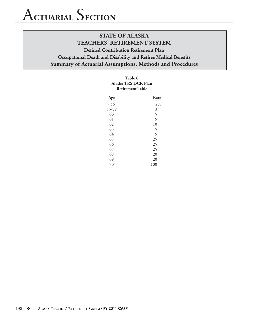## **Defined Contribution Retirement Plan Occupational Death and Disability and Retiree Medical Benefits Summary of Actuarial Assumptions, Methods and Procedures**

| Table 6<br>Alaska TRS DCR Plan<br><b>Retirement Table</b> |                          |
|-----------------------------------------------------------|--------------------------|
| Age                                                       | Rate                     |
| 55 <sub>5</sub>                                           | 2%                       |
| 55-59                                                     | 3                        |
| 60                                                        | $\overline{\phantom{0}}$ |
| 61                                                        | 5                        |

| <i>,, ,,</i> | ◡   |
|--------------|-----|
| 60           | 5   |
| 61           | 5   |
| 62           | 10  |
| 63           | 5   |
| 64           | 5   |
| 65           | 25  |
| 66           | 25  |
| 67           | 25  |
| 68           | 20  |
| 69           | 20  |
| 70           | 100 |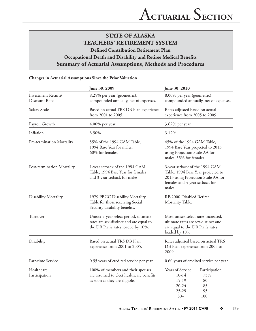## **STATE OF ALASKA TEACHERS' RETIREMENT SYSTEM Defined Contribution Retirement Plan**

## **Occupational Death and Disability and Retiree Medical Benefits Summary of Actuarial Assumptions, Methods and Procedures**

#### **Changes in Actuarial Assumptions Since the Prior Valuation**

|                                     | June 30, 2009                                                                                                                                | June 30, 2010                                                                                                                                          |  |  |
|-------------------------------------|----------------------------------------------------------------------------------------------------------------------------------------------|--------------------------------------------------------------------------------------------------------------------------------------------------------|--|--|
| Investment Return/<br>Discount Rate | 8.25% per year (geometric),<br>8.00% per year (geometric),<br>compounded annually, net of expenses.<br>compounded annually, net of expenses. |                                                                                                                                                        |  |  |
| Salary Scale                        | Based on actual TRS DB Plan experience<br>Rates adjusted based on actual<br>from 2001 to 2005.<br>experience from 2005 to 2009               |                                                                                                                                                        |  |  |
| Payroll Growth                      | 4.00% per year                                                                                                                               | 3.62% per year                                                                                                                                         |  |  |
| Inflation                           | 3.50%                                                                                                                                        | 3.12%                                                                                                                                                  |  |  |
| Pre-termination Mortality           | 55% of the 1994 GAM Table,<br>1994 Base Year for males.<br>60% for females.                                                                  | 45% of the 1994 GAM Table,<br>1994 Base Year projected to 2013<br>using Projection Scale AA for<br>males. 55% for females.                             |  |  |
| Post-termination Mortality          | 1-year setback of the 1994 GAM<br>Table, 1994 Base Year for females<br>and 3-year setback for males.                                         | 3-year setback of the 1994 GAM<br>Table, 1994 Base Year projected to<br>2013 using Projection Scale AA for<br>females and 4-year setback for<br>males. |  |  |
| Disability Mortality                | 1979 PBGC Disability Mortality<br>Table for those receiving Social<br>Security disability benefits.                                          | RP-2000 Disabled Retiree<br>Mortality Table.                                                                                                           |  |  |
| Turnover                            | Unisex 5-year select period, ultimate<br>rates are sex-distinct and are equal to<br>the DB Plan's rates loaded by 10%.                       | Most unisex select rates increased,<br>ultimate rates are sex-distinct and<br>are equal to the DB Plan's rates<br>loaded by 10%.                       |  |  |
| Disability                          | Based on actual TRS DB Plan<br>experience from 2001 to 2005.                                                                                 | Rates adjusted based on actual TRS<br>DB Plan experience from 2005 to<br>2009.                                                                         |  |  |
| Part-time Service                   | 0.55 years of credited service per year.                                                                                                     | 0.60 years of credited service per year.                                                                                                               |  |  |
| Healthcare<br>Participation         | 100% of members and their spouses<br>are assumed to elect healthcare benefits<br>as soon as they are eligible.                               | Years of Service<br>Participation<br>$10-14$<br>75%<br>$15-19$<br>80<br>$20 - 24$<br>85<br>25-29<br>95<br>$30+$<br>100                                 |  |  |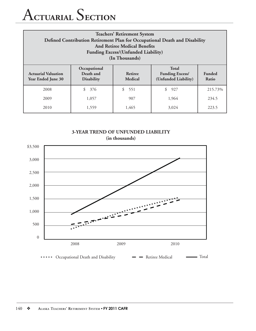## A**CTUARIAL** S**ECTION**

| <b>Teachers' Retirement System</b><br>Defined Contribution Retirement Plan for Occupational Death and Disability<br><b>And Retiree Medical Benefits</b><br><b>Funding Excess/(Unfunded Liability)</b><br>(In Thousands) |                                                |                           |                                                                |                        |
|-------------------------------------------------------------------------------------------------------------------------------------------------------------------------------------------------------------------------|------------------------------------------------|---------------------------|----------------------------------------------------------------|------------------------|
| <b>Actuarial Valuation</b><br><b>Year Ended June 30</b>                                                                                                                                                                 | Occupational<br>Death and<br><b>Disability</b> | Retiree<br><b>Medical</b> | <b>Total</b><br><b>Funding Excess/</b><br>(Unfunded Liability) | <b>Funded</b><br>Ratio |
| 2008                                                                                                                                                                                                                    | \$<br>376                                      | \$<br>551                 | \$<br>927                                                      | 215.73%                |
| 2009                                                                                                                                                                                                                    | 1,057                                          | 907                       | 1,964                                                          | 234.5                  |
| 2010                                                                                                                                                                                                                    | 1,559                                          | 1,465                     | 3.024                                                          | 223.5                  |





• Occupational Death and Disability **Occupational Death and Disability Property** Retiree Medical **Property** Total  $\bullet\hspace{0.4mm}\bullet\hspace{0.4mm}$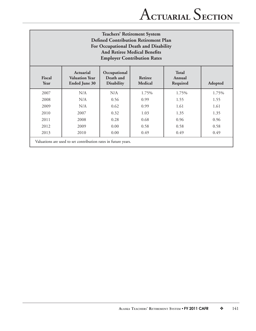## **Teachers' Retirement System Defined Contribution Retirement Plan For Occupational Death and Disability And Retiree Medical Benefits Employer Contribution Rates**

| Fiscal<br>Year | Actuarial<br><b>Valuation Year</b><br><b>Ended June 30</b>     | Occupational<br>Death and<br><b>Disability</b> | Retiree<br>Medical | <b>Total</b><br>Annual<br>Required | Adopted |
|----------------|----------------------------------------------------------------|------------------------------------------------|--------------------|------------------------------------|---------|
| 2007           | N/A                                                            | N/A                                            | 1.75%              | 1.75%                              | 1.75%   |
| 2008           | N/A                                                            | 0.56                                           | 0.99               | 1.55                               | 1.55    |
| 2009           | N/A                                                            | 0.62                                           | 0.99               | 1.61                               | 1.61    |
| 2010           | 2007                                                           | 0.32                                           | 1.03               | 1.35                               | 1.35    |
| 2011           | 2008                                                           | 0.28                                           | 0.68               | 0.96                               | 0.96    |
| 2012           | 2009                                                           | 0.00                                           | 0.58               | 0.58                               | 0.58    |
| 2013           | 2010                                                           | 0.00                                           | 0.49               | 0.49                               | 0.49    |
|                | Valuations are used to set contribution rates in future years. |                                                |                    |                                    |         |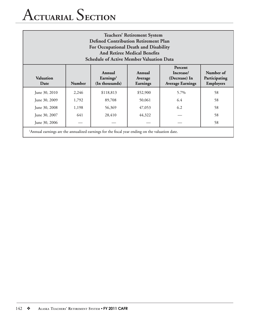# A**CTUARIAL** S**ECTION**

| <b>Teachers' Retirement System</b><br><b>Defined Contribution Retirement Plan</b><br>For Occupational Death and Disability<br><b>And Retiree Medical Benefits</b><br><b>Schedule of Active Member Valuation Data</b>                    |                                                                                                            |           |          |      |    |
|-----------------------------------------------------------------------------------------------------------------------------------------------------------------------------------------------------------------------------------------|------------------------------------------------------------------------------------------------------------|-----------|----------|------|----|
| Percent<br>Number of<br>Annual<br>Annual<br>Increase/<br>Valuation<br>Earnings <sup>1</sup><br>(Decrease) In<br>Participating<br>Average<br>(In thousands)<br>Employers<br><b>Number</b><br><b>Average Earnings</b><br>Earnings<br>Date |                                                                                                            |           |          |      |    |
| June 30, 2010                                                                                                                                                                                                                           | 2,246                                                                                                      | \$118,813 | \$52,900 | 5.7% | 58 |
| 89,708<br>50,061<br>6.4<br>58<br>June 30, 2009<br>1,792                                                                                                                                                                                 |                                                                                                            |           |          |      |    |
| 6.2<br>58<br>June 30, 2008<br>1,198<br>56,369<br>47,053                                                                                                                                                                                 |                                                                                                            |           |          |      |    |
| June 30, 2007                                                                                                                                                                                                                           | 641                                                                                                        | 28,410    | 44,322   |      | 58 |
| 58<br>June 30, 2006                                                                                                                                                                                                                     |                                                                                                            |           |          |      |    |
|                                                                                                                                                                                                                                         | <sup>1</sup> Annual earnings are the annualized earnings for the fiscal year ending on the valuation date. |           |          |      |    |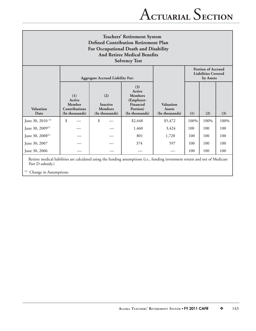| <b>Teachers' Retirement System</b><br><b>Defined Contribution Retirement Plan</b><br>For Occupational Death and Disability<br><b>And Retiree Medical Benefits</b><br><b>Solvency Test</b> |                                                                                                                 |                                                            |                                                                                         |                                              |      |      |      |
|-------------------------------------------------------------------------------------------------------------------------------------------------------------------------------------------|-----------------------------------------------------------------------------------------------------------------|------------------------------------------------------------|-----------------------------------------------------------------------------------------|----------------------------------------------|------|------|------|
|                                                                                                                                                                                           | <b>Portion of Accrued</b><br><b>Liabilities Covered</b><br><b>Aggregate Accrued Liability For:</b><br>by Assets |                                                            |                                                                                         |                                              |      |      |      |
| Valuation<br>Date                                                                                                                                                                         | (1)<br>Active<br>Member<br><b>Contributions</b><br>(In thousands)                                               | (2)<br><b>Inactive</b><br><b>Members</b><br>(In thousands) | (3)<br>Active<br><b>Members</b><br>(Employer-<br>Financed<br>Portion)<br>(In thousands) | Valuation<br><b>Assets</b><br>(In thousands) | (1)  | (2)  | (3)  |
| June 30, 2010 <sup>(1)</sup>                                                                                                                                                              | \$                                                                                                              | \$                                                         | \$2,448                                                                                 | \$5,472                                      | 100% | 100% | 100% |
| June 30, 2009 <sup>(1)</sup>                                                                                                                                                              |                                                                                                                 |                                                            | 1,460                                                                                   | 3,424                                        | 100  | 100  | 100  |
| June 30, 2008 <sup>(1)</sup>                                                                                                                                                              |                                                                                                                 |                                                            | 801                                                                                     | 1,728                                        | 100  | 100  | 100  |
| June 30, 2007                                                                                                                                                                             |                                                                                                                 |                                                            | 374                                                                                     | 597                                          | 100  | 100  | 100  |
| June 30, 2006                                                                                                                                                                             |                                                                                                                 |                                                            |                                                                                         |                                              | 100  | 100  | 100  |
| Retiree medical liabilities are calculated using the funding assumptions (i.e., funding investment return and net of Medicare                                                             |                                                                                                                 |                                                            |                                                                                         |                                              |      |      |      |

Part D subsidy.)

(1) Change in Assumptions.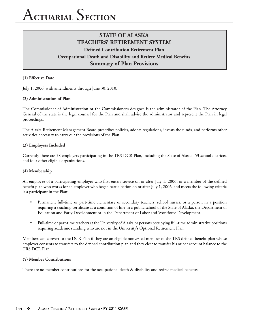## **STATE OF ALASKA TEACHERS' RETIREMENT SYSTEM Defined Contribution Retirement Plan Occupational Death and Disability and Retiree Medical Benefits Summary of Plan Provisions**

#### **(1) Effective Date**

July 1, 2006, with amendments through June 30, 2010.

#### **(2) Administration of Plan**

The Commissioner of Administration or the Commissioner's designee is the administrator of the Plan. The Attorney General of the state is the legal counsel for the Plan and shall advise the administrator and represent the Plan in legal proceedings.

The Alaska Retirement Management Board prescribes policies, adopts regulations, invests the funds, and performs other activities necessary to carry out the provisions of the Plan.

#### **(3) Employers Included**

Currently there are 58 employers participating in the TRS DCR Plan, including the State of Alaska, 53 school districts, and four other eligible organizations.

### **(4) Membership**

An employee of a participating employer who first enters service on or after July 1, 2006, or a member of the defined benefit plan who works for an employer who began participation on or after July 1, 2006, and meets the following criteria is a participant in the Plan:

- Permanent full-time or part-time elementary or secondary teachers, school nurses, or a person in a position requiring a teaching certificate as a condition of hire in a public school of the State of Alaska, the Department of Education and Early Development or in the Department of Labor and Workforce Development.
- Full-time or part-time teachers at the University of Alaska or persons occupying full-time administrative positions requiring academic standing who are not in the University's Optional Retirement Plan.

Members can convert to the DCR Plan if they are an eligible nonvested member of the TRS defined benefit plan whose employer consents to transfers to the defined contribution plan and they elect to transfer his or her account balance to the TRS DCR Plan.

#### **(5) Member Contributions**

There are no member contributions for the occupational death  $\&$  disability and retiree medical benefits.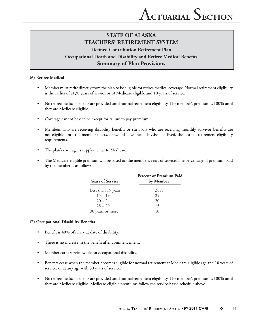## **STATE OF ALASKA TEACHERS' RETIREMENT SYSTEM Defined Contribution Retirement Plan Occupational Death and Disability and Retiree Medical Benefits Summary of Plan Provisions**

### **(6) Retiree Medical**

- Member must retire directly from the plan to be eligible for retiree medical coverage. Normal retirement eligibility is the earlier of a) 30 years of service or b) Medicare eligible and 10 years of service.
- No retiree medical benefits are provided until normal retirement eligibility. The member's premium is 100% until they are Medicare eligible.
- Coverage cannot be denied except for failure to pay premium.
- Members who are receiving disability benefits or survivors who are receiving monthly survivor benefits are not eligible until the member meets, or would have met if he/she had lived, the normal retirement eligibility requirements.
- The plan's coverage is supplemental to Medicare.
- The Medicare-eligible premium will be based on the member's years of service. The percentage of premium paid by the member is as follows:

| <b>Years of Service</b> | Percent of Premium Paid<br>by Member |
|-------------------------|--------------------------------------|
| Less than 15 years      | 30%                                  |
| $15 - 19$               | 25                                   |
| $20 - 24$               | 20                                   |
| $25 - 29$               | 15                                   |
| 30 years or more        | 10                                   |

#### **(7) Occupational Disability Benefi ts**

- Benefit is 40% of salary at date of disability.
- There is no increase in the benefit after commencement.
- Member earns service while on occupational disability.
- Benefits cease when the member becomes eligible for normal retirement at Medicare-eligible age and 10 years of service, or at any age with 30 years of service.
- No retiree medical benefits are provided until normal retirement eligibility. The member's premium is 100% until they are Medicare eligible. Medicare-eligible premiums follow the service-based schedule above.